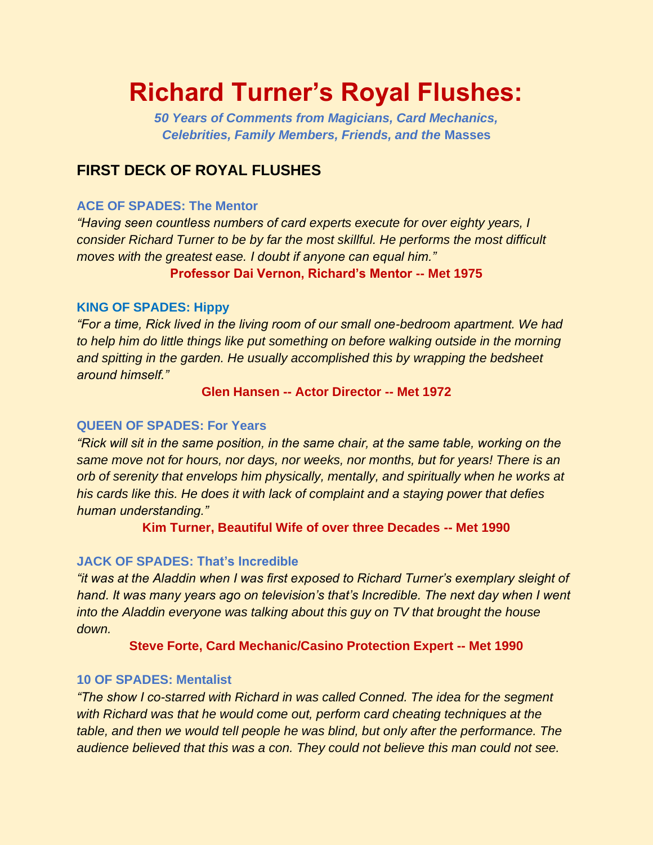# **Richard Turner's Royal Flushes:**

*50 Years of Comments from Magicians, Card Mechanics, Celebrities, Family Members, Friends, and the* **Masses**

# **FIRST DECK OF ROYAL FLUSHES**

#### **ACE OF SPADES: The Mentor**

*"Having seen countless numbers of card experts execute for over eighty years, I consider Richard Turner to be by far the most skillful. He performs the most difficult moves with the greatest ease. I doubt if anyone can equal him."* 

**Professor Dai Vernon, Richard's Mentor -- Met 1975**

#### **KING OF SPADES: Hippy**

*"For a time, Rick lived in the living room of our small one-bedroom apartment. We had to help him do little things like put something on before walking outside in the morning and spitting in the garden. He usually accomplished this by wrapping the bedsheet around himself."*

#### **Glen Hansen -- Actor Director -- Met 1972**

#### **QUEEN OF SPADES: For Years**

*"Rick will sit in the same position, in the same chair, at the same table, working on the same move not for hours, nor days, nor weeks, nor months, but for years! There is an orb of serenity that envelops him physically, mentally, and spiritually when he works at his cards like this. He does it with lack of complaint and a staying power that defies human understanding."*

**Kim Turner, Beautiful Wife of over three Decades -- Met 1990**

#### **JACK OF SPADES: That's Incredible**

*"it was at the Aladdin when I was first exposed to Richard Turner's exemplary sleight of hand. It was many years ago on television's that's Incredible. The next day when I went into the Aladdin everyone was talking about this guy on TV that brought the house down.* 

#### **Steve Forte, Card Mechanic/Casino Protection Expert -- Met 1990**

#### **10 OF SPADES: Mentalist**

*"The show I co-starred with Richard in was called Conned. The idea for the segment with Richard was that he would come out, perform card cheating techniques at the table, and then we would tell people he was blind, but only after the performance. The audience believed that this was a con. They could not believe this man could not see.*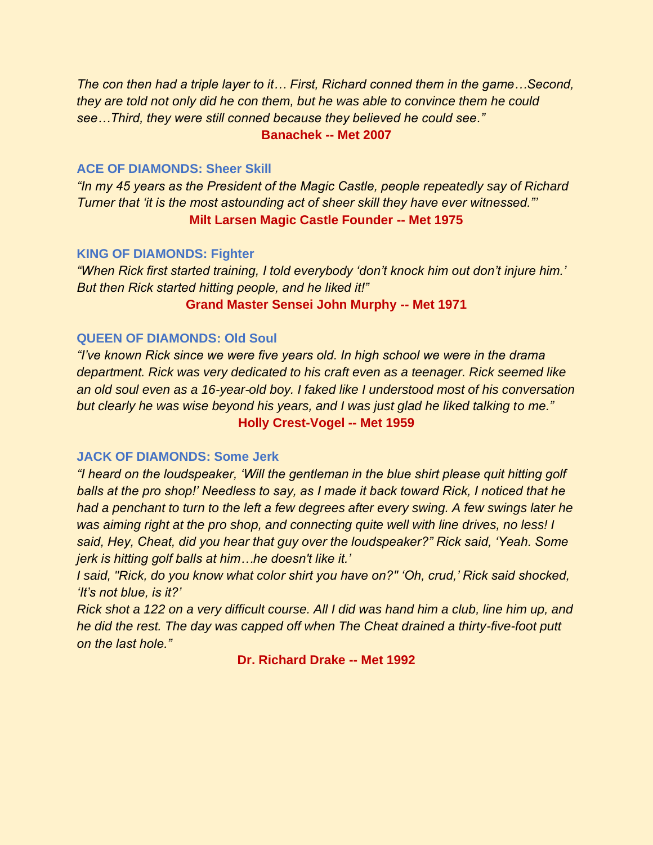*The con then had a triple layer to it… First, Richard conned them in the game…Second, they are told not only did he con them, but he was able to convince them he could see…Third, they were still conned because they believed he could see."*  **Banachek -- Met 2007**

#### **ACE OF DIAMONDS: Sheer Skill**

*"In my 45 years as the President of the Magic Castle, people repeatedly say of Richard Turner that 'it is the most astounding act of sheer skill they have ever witnessed."'* **Milt Larsen Magic Castle Founder -- Met 1975**

#### **KING OF DIAMONDS: Fighter**

*"When Rick first started training, I told everybody 'don't knock him out don't injure him.' But then Rick started hitting people, and he liked it!"* 

#### **Grand Master Sensei John Murphy -- Met 1971**

#### **QUEEN OF DIAMONDS: Old Soul**

*"I've known Rick since we were five years old. In high school we were in the drama department. Rick was very dedicated to his craft even as a teenager. Rick seemed like an old soul even as a 16-year-old boy. I faked like I understood most of his conversation but clearly he was wise beyond his years, and I was just glad he liked talking to me."*  **Holly Crest-Vogel -- Met 1959**

#### **JACK OF DIAMONDS: Some Jerk**

*"I heard on the loudspeaker, 'Will the gentleman in the blue shirt please quit hitting golf balls at the pro shop!' Needless to say, as I made it back toward Rick, I noticed that he had a penchant to turn to the left a few degrees after every swing. A few swings later he was aiming right at the pro shop, and connecting quite well with line drives, no less! I said, Hey, Cheat, did you hear that guy over the loudspeaker?" Rick said, 'Yeah. Some jerk is hitting golf balls at him…he doesn't like it.'* 

*I said, "Rick, do you know what color shirt you have on?" 'Oh, crud,' Rick said shocked, 'It's not blue, is it?'* 

*Rick shot a 122 on a very difficult course. All I did was hand him a club, line him up, and he did the rest. The day was capped off when The Cheat drained a thirty-five-foot putt on the last hole."*

**Dr. Richard Drake -- Met 1992**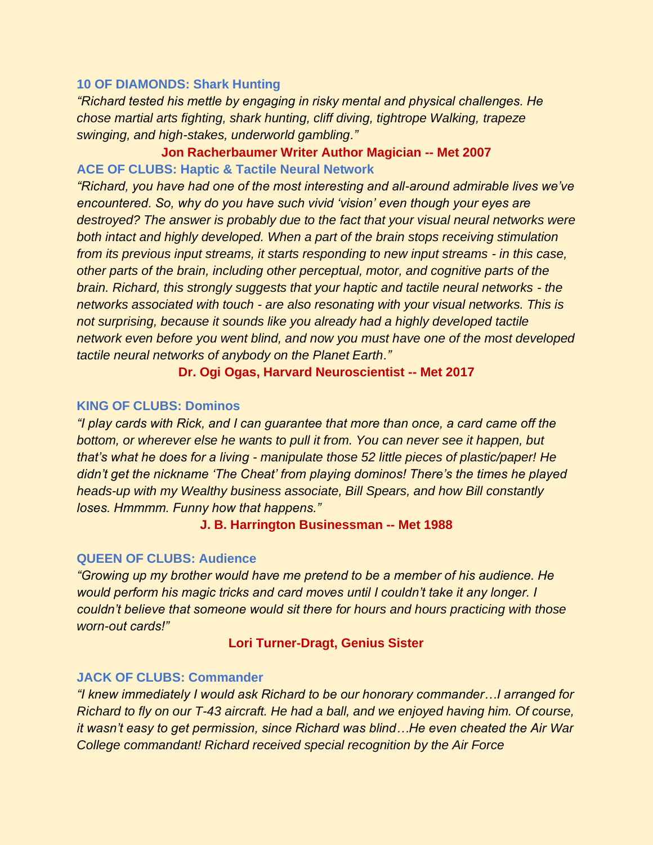#### **10 OF DIAMONDS: Shark Hunting**

*"Richard tested his mettle by engaging in risky mental and physical challenges. He chose martial arts fighting, shark hunting, cliff diving, tightrope Walking, trapeze swinging, and high-stakes, underworld gambling."* 

# **Jon Racherbaumer Writer Author Magician -- Met 2007 ACE OF CLUBS: Haptic & Tactile Neural Network**

*"Richard, you have had one of the most interesting and all-around admirable lives we've encountered. So, why do you have such vivid 'vision' even though your eyes are destroyed? The answer is probably due to the fact that your visual neural networks were both intact and highly developed. When a part of the brain stops receiving stimulation from its previous input streams, it starts responding to new input streams - in this case, other parts of the brain, including other perceptual, motor, and cognitive parts of the brain. Richard, this strongly suggests that your haptic and tactile neural networks - the networks associated with touch - are also resonating with your visual networks. This is not surprising, because it sounds like you already had a highly developed tactile network even before you went blind, and now you must have one of the most developed tactile neural networks of anybody on the Planet Earth."* 

#### **Dr. Ogi Ogas, Harvard Neuroscientist -- Met 2017**

#### **KING OF CLUBS: Dominos**

*"I play cards with Rick, and I can guarantee that more than once, a card came off the bottom, or wherever else he wants to pull it from. You can never see it happen, but that's what he does for a living - manipulate those 52 little pieces of plastic/paper! He didn't get the nickname 'The Cheat' from playing dominos! There's the times he played heads-up with my Wealthy business associate, Bill Spears, and how Bill constantly loses. Hmmmm. Funny how that happens."*

#### **J. B. Harrington Businessman -- Met 1988**

#### **QUEEN OF CLUBS: Audience**

*"Growing up my brother would have me pretend to be a member of his audience. He would perform his magic tricks and card moves until I couldn't take it any longer. I couldn't believe that someone would sit there for hours and hours practicing with those worn-out cards!"*

#### **Lori Turner-Dragt, Genius Sister**

#### **JACK OF CLUBS: Commander**

*"I knew immediately I would ask Richard to be our honorary commander…I arranged for Richard to fly on our T-43 aircraft. He had a ball, and we enjoyed having him. Of course, it wasn't easy to get permission, since Richard was blind…He even cheated the Air War College commandant! Richard received special recognition by the Air Force*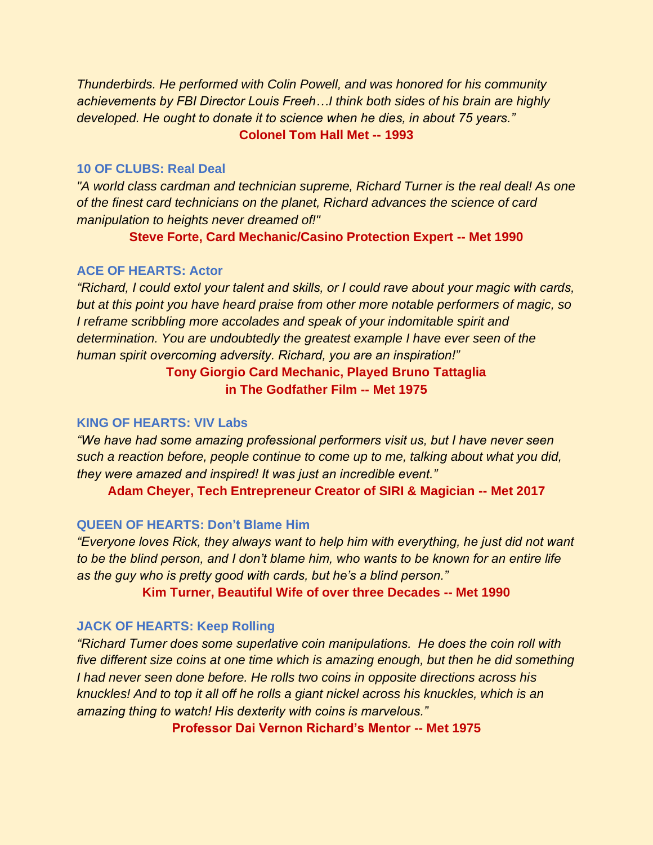*Thunderbirds. He performed with Colin Powell, and was honored for his community achievements by FBI Director Louis Freeh…I think both sides of his brain are highly developed. He ought to donate it to science when he dies, in about 75 years."* **Colonel Tom Hall Met -- 1993**

#### **10 OF CLUBS: Real Deal**

*"A world class cardman and technician supreme, Richard Turner is the real deal! As one of the finest card technicians on the planet, Richard advances the science of card manipulation to heights never dreamed of!"*

**Steve Forte, Card Mechanic/Casino Protection Expert -- Met 1990**

#### **ACE OF HEARTS: Actor**

*"Richard, I could extol your talent and skills, or I could rave about your magic with cards, but at this point you have heard praise from other more notable performers of magic, so I reframe scribbling more accolades and speak of your indomitable spirit and determination. You are undoubtedly the greatest example I have ever seen of the human spirit overcoming adversity. Richard, you are an inspiration!"*

# **Tony Giorgio Card Mechanic, Played Bruno Tattaglia in The Godfather Film -- Met 1975**

#### **KING OF HEARTS: VIV Labs**

*"We have had some amazing professional performers visit us, but I have never seen such a reaction before, people continue to come up to me, talking about what you did, they were amazed and inspired! It was just an incredible event."*

**Adam Cheyer, Tech Entrepreneur Creator of SIRI & Magician -- Met 2017**

#### **QUEEN OF HEARTS: Don't Blame Him**

*"Everyone loves Rick, they always want to help him with everything, he just did not want to be the blind person, and I don't blame him, who wants to be known for an entire life as the guy who is pretty good with cards, but he's a blind person."* 

#### **Kim Turner, Beautiful Wife of over three Decades -- Met 1990**

#### **JACK OF HEARTS: Keep Rolling**

*"Richard Turner does some superlative coin manipulations. He does the coin roll with five different size coins at one time which is amazing enough, but then he did something I had never seen done before. He rolls two coins in opposite directions across his knuckles! And to top it all off he rolls a giant nickel across his knuckles, which is an amazing thing to watch! His dexterity with coins is marvelous."* 

**Professor Dai Vernon Richard's Mentor -- Met 1975**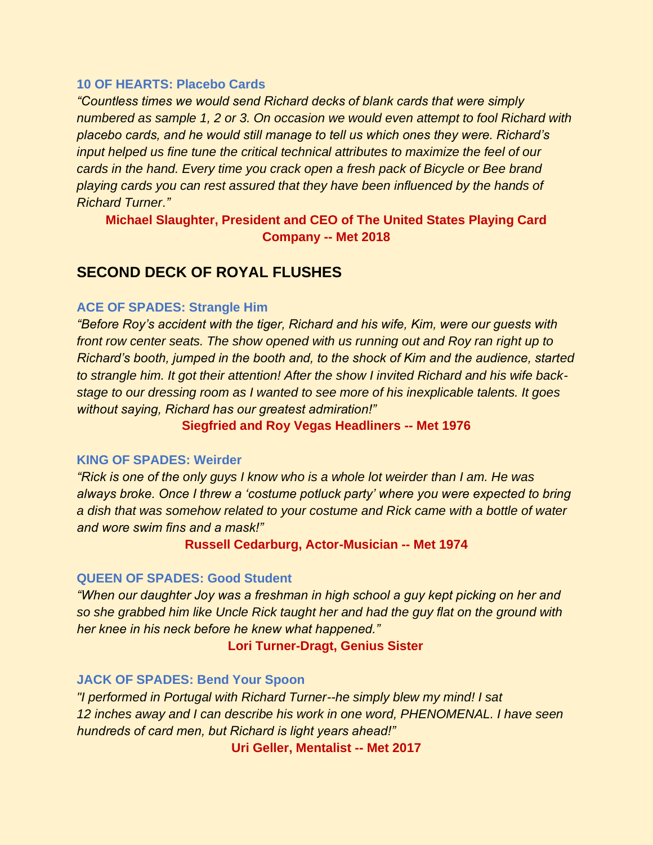#### **10 OF HEARTS: Placebo Cards**

*"Countless times we would send Richard decks of blank cards that were simply numbered as sample 1, 2 or 3. On occasion we would even attempt to fool Richard with placebo cards, and he would still manage to tell us which ones they were. Richard's input helped us fine tune the critical technical attributes to maximize the feel of our cards in the hand. Every time you crack open a fresh pack of Bicycle or Bee brand playing cards you can rest assured that they have been influenced by the hands of Richard Turner."*

**Michael Slaughter, President and CEO of The United States Playing Card Company -- Met 2018** 

# **SECOND DECK OF ROYAL FLUSHES**

#### **ACE OF SPADES: Strangle Him**

*"Before Roy's accident with the tiger, Richard and his wife, Kim, were our guests with front row center seats. The show opened with us running out and Roy ran right up to Richard's booth, jumped in the booth and, to the shock of Kim and the audience, started to strangle him. It got their attention! After the show I invited Richard and his wife backstage to our dressing room as I wanted to see more of his inexplicable talents. It goes without saying, Richard has our greatest admiration!"* 

**Siegfried and Roy Vegas Headliners -- Met 1976** 

#### **KING OF SPADES: Weirder**

*"Rick is one of the only guys I know who is a whole lot weirder than I am. He was always broke. Once I threw a 'costume potluck party' where you were expected to bring a dish that was somehow related to your costume and Rick came with a bottle of water and wore swim fins and a mask!"*

**Russell Cedarburg, Actor-Musician -- Met 1974** 

#### **QUEEN OF SPADES: Good Student**

*"When our daughter Joy was a freshman in high school a guy kept picking on her and so she grabbed him like Uncle Rick taught her and had the guy flat on the ground with her knee in his neck before he knew what happened."*

#### **Lori Turner-Dragt, Genius Sister**

#### **JACK OF SPADES: Bend Your Spoon**

*"I performed in Portugal with Richard Turner--he simply blew my mind! I sat 12 inches away and I can describe his work in one word, PHENOMENAL. I have seen hundreds of card men, but Richard is light years ahead!"*

**Uri Geller, Mentalist -- Met 2017**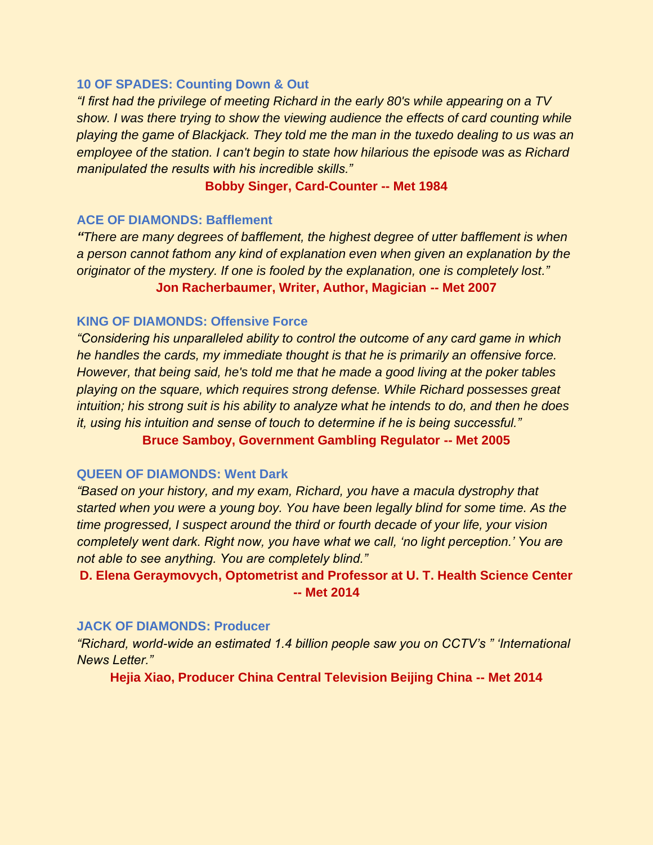#### **10 OF SPADES: Counting Down & Out**

*"I first had the privilege of meeting Richard in the early 80's while appearing on a TV show. I was there trying to show the viewing audience the effects of card counting while playing the game of Blackjack. They told me the man in the tuxedo dealing to us was an employee of the station. I can't begin to state how hilarious the episode was as Richard manipulated the results with his incredible skills."*

#### **Bobby Singer, Card-Counter -- Met 1984**

#### **ACE OF DIAMONDS: Bafflement**

*"There are many degrees of bafflement, the highest degree of utter bafflement is when a person cannot fathom any kind of explanation even when given an explanation by the originator of the mystery. If one is fooled by the explanation, one is completely lost."* **Jon Racherbaumer, Writer, Author, Magician -- Met 2007**

#### **KING OF DIAMONDS: Offensive Force**

*"Considering his unparalleled ability to control the outcome of any card game in which he handles the cards, my immediate thought is that he is primarily an offensive force. However, that being said, he's told me that he made a good living at the poker tables playing on the square, which requires strong defense. While Richard possesses great intuition; his strong suit is his ability to analyze what he intends to do, and then he does it, using his intuition and sense of touch to determine if he is being successful."* **Bruce Samboy, Government Gambling Regulator -- Met 2005**

#### **QUEEN OF DIAMONDS: Went Dark**

*"Based on your history, and my exam, Richard, you have a macula dystrophy that started when you were a young boy. You have been legally blind for some time. As the time progressed, I suspect around the third or fourth decade of your life, your vision completely went dark. Right now, you have what we call, 'no light perception.' You are not able to see anything. You are completely blind."*

**D. Elena Geraymovych, Optometrist and Professor at U. T. Health Science Center -- Met 2014**

#### **JACK OF DIAMONDS: Producer**

*"Richard, world-wide an estimated 1.4 billion people saw you on CCTV's " 'International News Letter."* 

**Hejia Xiao, Producer China Central Television Beijing China -- Met 2014**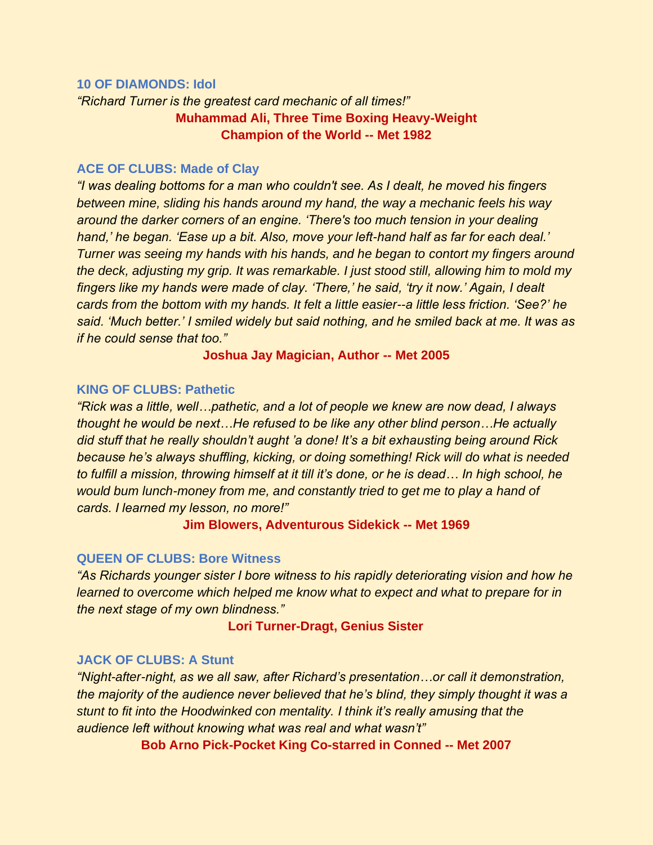#### **10 OF DIAMONDS: Idol**

*"Richard Turner is the greatest card mechanic of all times!"* **Muhammad Ali, Three Time Boxing Heavy-Weight Champion of the World -- Met 1982** 

#### **ACE OF CLUBS: Made of Clay**

*"I was dealing bottoms for a man who couldn't see. As I dealt, he moved his fingers between mine, sliding his hands around my hand, the way a mechanic feels his way around the darker corners of an engine. 'There's too much tension in your dealing hand,' he began. 'Ease up a bit. Also, move your left-hand half as far for each deal.' Turner was seeing my hands with his hands, and he began to contort my fingers around the deck, adjusting my grip. It was remarkable. I just stood still, allowing him to mold my fingers like my hands were made of clay. 'There,' he said, 'try it now.' Again, I dealt cards from the bottom with my hands. It felt a little easier--a little less friction. 'See?' he said. 'Much better.' I smiled widely but said nothing, and he smiled back at me. It was as if he could sense that too."*

**Joshua Jay Magician, Author -- Met 2005** 

#### **KING OF CLUBS: Pathetic**

*"Rick was a little, well…pathetic, and a lot of people we knew are now dead, I always thought he would be next…He refused to be like any other blind person…He actually did stuff that he really shouldn't aught 'a done! It's a bit exhausting being around Rick because he's always shuffling, kicking, or doing something! Rick will do what is needed to fulfill a mission, throwing himself at it till it's done, or he is dead… In high school, he would bum lunch-money from me, and constantly tried to get me to play a hand of cards. I learned my lesson, no more!"* 

**Jim Blowers, Adventurous Sidekick -- Met 1969** 

#### **QUEEN OF CLUBS: Bore Witness**

*"As Richards younger sister I bore witness to his rapidly deteriorating vision and how he learned to overcome which helped me know what to expect and what to prepare for in the next stage of my own blindness."*

#### **Lori Turner-Dragt, Genius Sister**

#### **JACK OF CLUBS: A Stunt**

*"Night-after-night, as we all saw, after Richard's presentation…or call it demonstration, the majority of the audience never believed that he's blind, they simply thought it was a stunt to fit into the Hoodwinked con mentality. I think it's really amusing that the audience left without knowing what was real and what wasn't"* 

**Bob Arno Pick-Pocket King Co-starred in Conned -- Met 2007**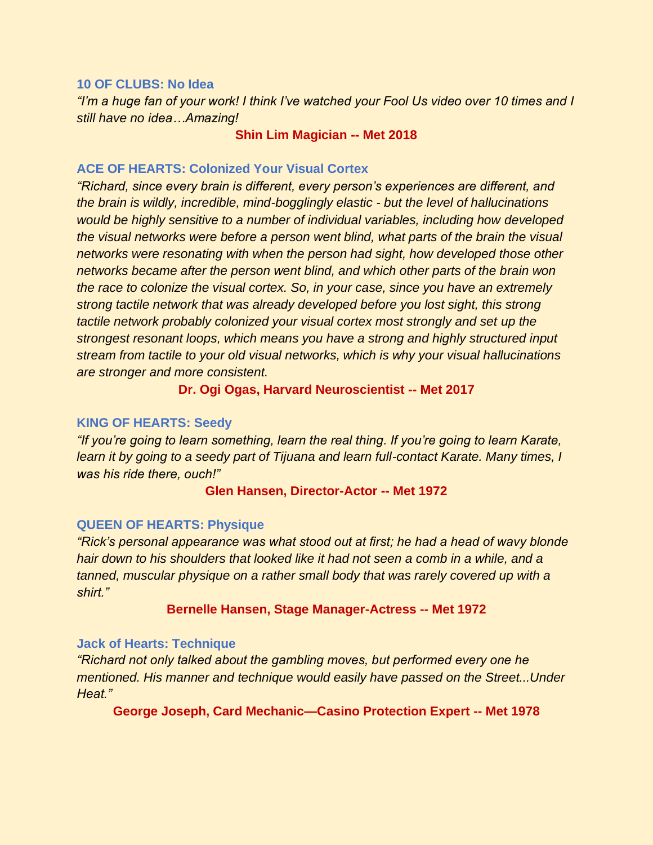#### **10 OF CLUBS: No Idea**

*"I'm a huge fan of your work! I think I've watched your Fool Us video over 10 times and I still have no idea…Amazing!*

#### **Shin Lim Magician -- Met 2018**

#### **ACE OF HEARTS: Colonized Your Visual Cortex**

*"Richard, since every brain is different, every person's experiences are different, and the brain is wildly, incredible, mind-bogglingly elastic - but the level of hallucinations would be highly sensitive to a number of individual variables, including how developed the visual networks were before a person went blind, what parts of the brain the visual networks were resonating with when the person had sight, how developed those other networks became after the person went blind, and which other parts of the brain won the race to colonize the visual cortex. So, in your case, since you have an extremely strong tactile network that was already developed before you lost sight, this strong tactile network probably colonized your visual cortex most strongly and set up the strongest resonant loops, which means you have a strong and highly structured input stream from tactile to your old visual networks, which is why your visual hallucinations are stronger and more consistent.* 

#### **Dr. Ogi Ogas, Harvard Neuroscientist -- Met 2017**

#### **KING OF HEARTS: Seedy**

*"If you're going to learn something, learn the real thing. If you're going to learn Karate, learn it by going to a seedy part of Tijuana and learn full-contact Karate. Many times, I was his ride there, ouch!"*

#### **Glen Hansen, Director-Actor -- Met 1972**

#### **QUEEN OF HEARTS: Physique**

*"Rick's personal appearance was what stood out at first; he had a head of wavy blonde hair down to his shoulders that looked like it had not seen a comb in a while, and a tanned, muscular physique on a rather small body that was rarely covered up with a shirt."*

#### **Bernelle Hansen, Stage Manager-Actress -- Met 1972**

#### **Jack of Hearts: Technique**

*"Richard not only talked about the gambling moves, but performed every one he mentioned. His manner and technique would easily have passed on the Street...Under Heat."*

**George Joseph, Card Mechanic—Casino Protection Expert -- Met 1978**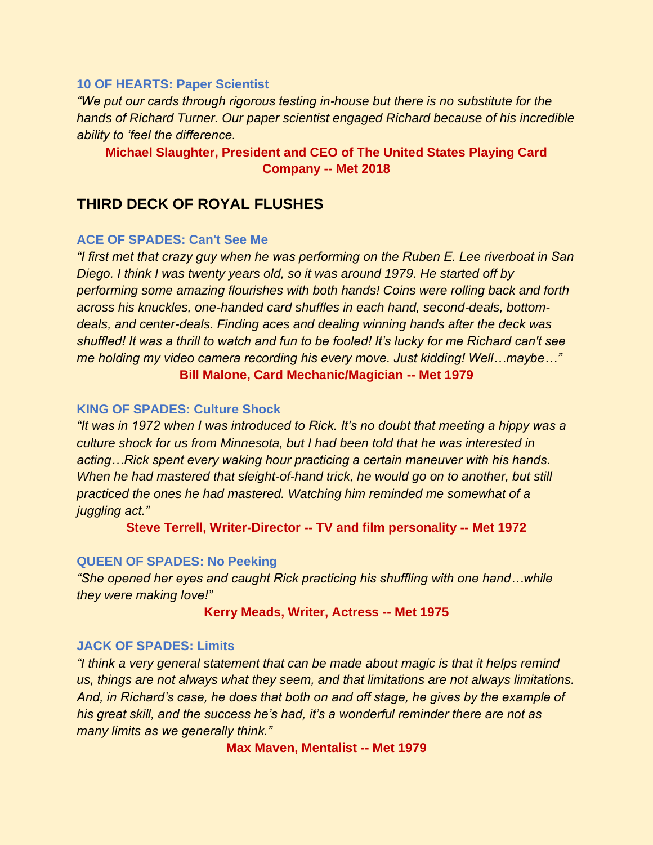#### **10 OF HEARTS: Paper Scientist**

*"We put our cards through rigorous testing in-house but there is no substitute for the hands of Richard Turner. Our paper scientist engaged Richard because of his incredible ability to 'feel the difference.*

# **Michael Slaughter, President and CEO of The United States Playing Card Company -- Met 2018**

# **THIRD DECK OF ROYAL FLUSHES**

#### **ACE OF SPADES: Can't See Me**

*"I first met that crazy guy when he was performing on the Ruben E. Lee riverboat in San Diego. I think I was twenty years old, so it was around 1979. He started off by performing some amazing flourishes with both hands! Coins were rolling back and forth across his knuckles, one-handed card shuffles in each hand, second-deals, bottomdeals, and center-deals. Finding aces and dealing winning hands after the deck was shuffled! It was a thrill to watch and fun to be fooled! It's lucky for me Richard can't see me holding my video camera recording his every move. Just kidding! Well…maybe…"* **Bill Malone, Card Mechanic/Magician -- Met 1979**

#### **KING OF SPADES: Culture Shock**

*"It was in 1972 when I was introduced to Rick. It's no doubt that meeting a hippy was a culture shock for us from Minnesota, but I had been told that he was interested in acting…Rick spent every waking hour practicing a certain maneuver with his hands. When he had mastered that sleight-of-hand trick, he would go on to another, but still practiced the ones he had mastered. Watching him reminded me somewhat of a juggling act."*

**Steve Terrell, Writer-Director -- TV and film personality -- Met 1972**

#### **QUEEN OF SPADES: No Peeking**

*"She opened her eyes and caught Rick practicing his shuffling with one hand…while they were making love!"*

#### **Kerry Meads, Writer, Actress -- Met 1975**

#### **JACK OF SPADES: Limits**

*"I think a very general statement that can be made about magic is that it helps remind us, things are not always what they seem, and that limitations are not always limitations. And, in Richard's case, he does that both on and off stage, he gives by the example of his great skill, and the success he's had, it's a wonderful reminder there are not as many limits as we generally think."*

**Max Maven, Mentalist -- Met 1979**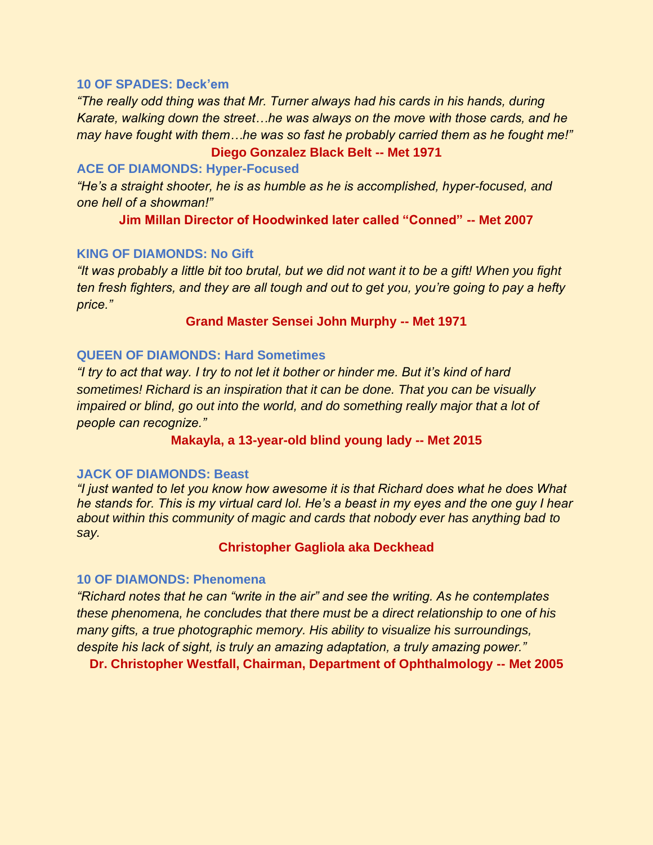#### **10 OF SPADES: Deck'em**

*"The really odd thing was that Mr. Turner always had his cards in his hands, during Karate, walking down the street…he was always on the move with those cards, and he may have fought with them…he was so fast he probably carried them as he fought me!"*

#### **Diego Gonzalez Black Belt -- Met 1971**

#### **ACE OF DIAMONDS: Hyper-Focused**

*"He's a straight shooter, he is as humble as he is accomplished, hyper-focused, and one hell of a showman!"* 

**Jim Millan Director of Hoodwinked later called "Conned" -- Met 2007**

#### **KING OF DIAMONDS: No Gift**

*"It was probably a little bit too brutal, but we did not want it to be a gift! When you fight ten fresh fighters, and they are all tough and out to get you, you're going to pay a hefty price."*

#### **Grand Master Sensei John Murphy -- Met 1971**

#### **QUEEN OF DIAMONDS: Hard Sometimes**

*"I try to act that way. I try to not let it bother or hinder me. But it's kind of hard sometimes! Richard is an inspiration that it can be done. That you can be visually impaired or blind, go out into the world, and do something really major that a lot of people can recognize."*

#### **Makayla, a 13-year-old blind young lady -- Met 2015**

#### **JACK OF DIAMONDS: Beast**

*"I just wanted to let you know how awesome it is that Richard does what he does What he stands for. This is my virtual card lol. He's a beast in my eyes and the one guy I hear about within this community of magic and cards that nobody ever has anything bad to say.* 

#### **Christopher Gagliola aka Deckhead**

#### **10 OF DIAMONDS: Phenomena**

*"Richard notes that he can "write in the air" and see the writing. As he contemplates these phenomena, he concludes that there must be a direct relationship to one of his many gifts, a true photographic memory. His ability to visualize his surroundings, despite his lack of sight, is truly an amazing adaptation, a truly amazing power."*

**Dr. Christopher Westfall, Chairman, Department of Ophthalmology -- Met 2005**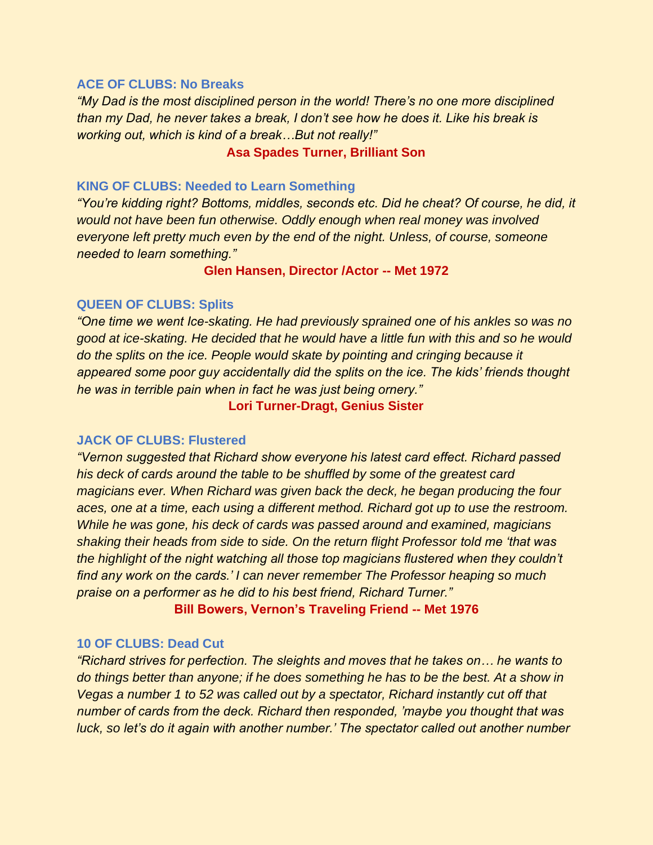#### **ACE OF CLUBS: No Breaks**

*"My Dad is the most disciplined person in the world! There's no one more disciplined than my Dad, he never takes a break, I don't see how he does it. Like his break is working out, which is kind of a break…But not really!"*

#### **Asa Spades Turner, Brilliant Son**

#### **KING OF CLUBS: Needed to Learn Something**

*"You're kidding right? Bottoms, middles, seconds etc. Did he cheat? Of course, he did, it would not have been fun otherwise. Oddly enough when real money was involved everyone left pretty much even by the end of the night. Unless, of course, someone needed to learn something."*

**Glen Hansen, Director /Actor -- Met 1972** 

#### **QUEEN OF CLUBS: Splits**

*"One time we went Ice-skating. He had previously sprained one of his ankles so was no good at ice-skating. He decided that he would have a little fun with this and so he would do the splits on the ice. People would skate by pointing and cringing because it appeared some poor guy accidentally did the splits on the ice. The kids' friends thought he was in terrible pain when in fact he was just being ornery."* 

**Lori Turner-Dragt, Genius Sister** 

#### **JACK OF CLUBS: Flustered**

*"Vernon suggested that Richard show everyone his latest card effect. Richard passed his deck of cards around the table to be shuffled by some of the greatest card magicians ever. When Richard was given back the deck, he began producing the four aces, one at a time, each using a different method. Richard got up to use the restroom. While he was gone, his deck of cards was passed around and examined, magicians shaking their heads from side to side. On the return flight Professor told me 'that was the highlight of the night watching all those top magicians flustered when they couldn't find any work on the cards.' I can never remember The Professor heaping so much praise on a performer as he did to his best friend, Richard Turner."* 

**Bill Bowers, Vernon's Traveling Friend -- Met 1976** 

#### **10 OF CLUBS: Dead Cut**

*"Richard strives for perfection. The sleights and moves that he takes on… he wants to do things better than anyone; if he does something he has to be the best. At a show in Vegas a number 1 to 52 was called out by a spectator, Richard instantly cut off that number of cards from the deck. Richard then responded, 'maybe you thought that was luck, so let's do it again with another number.' The spectator called out another number*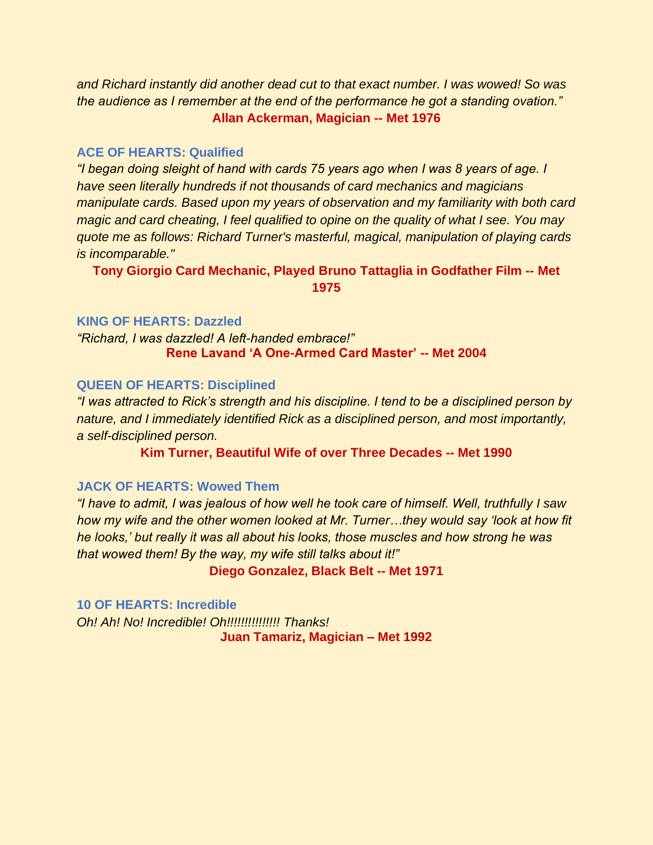*and Richard instantly did another dead cut to that exact number. I was wowed! So was the audience as I remember at the end of the performance he got a standing ovation."*  **Allan Ackerman, Magician -- Met 1976**

#### **ACE OF HEARTS: Qualified**

*"I began doing sleight of hand with cards 75 years ago when I was 8 years of age. I have seen literally hundreds if not thousands of card mechanics and magicians manipulate cards. Based upon my years of observation and my familiarity with both card magic and card cheating, I feel qualified to opine on the quality of what I see. You may quote me as follows: Richard Turner's masterful, magical, manipulation of playing cards is incomparable."*

**Tony Giorgio Card Mechanic, Played Bruno Tattaglia in Godfather Film -- Met 1975**

#### **KING OF HEARTS: Dazzled**

*"Richard, I was dazzled! A left-handed embrace!"*  **Rene Lavand 'A One-Armed Card Master' -- Met 2004**

#### **QUEEN OF HEARTS: Disciplined**

*"I was attracted to Rick's strength and his discipline. I tend to be a disciplined person by nature, and I immediately identified Rick as a disciplined person, and most importantly, a self-disciplined person.* 

**Kim Turner, Beautiful Wife of over Three Decades -- Met 1990**

#### **JACK OF HEARTS: Wowed Them**

*"I have to admit, I was jealous of how well he took care of himself. Well, truthfully I saw how my wife and the other women looked at Mr. Turner...they would say 'look at how fit he looks,' but really it was all about his looks, those muscles and how strong he was that wowed them! By the way, my wife still talks about it!"*

**Diego Gonzalez, Black Belt -- Met 1971**

#### **10 OF HEARTS: Incredible**

*Oh! Ah! No! Incredible! Oh!!!!!!!!!!!!!!! Thanks!* **Juan Tamariz, Magician – Met 1992**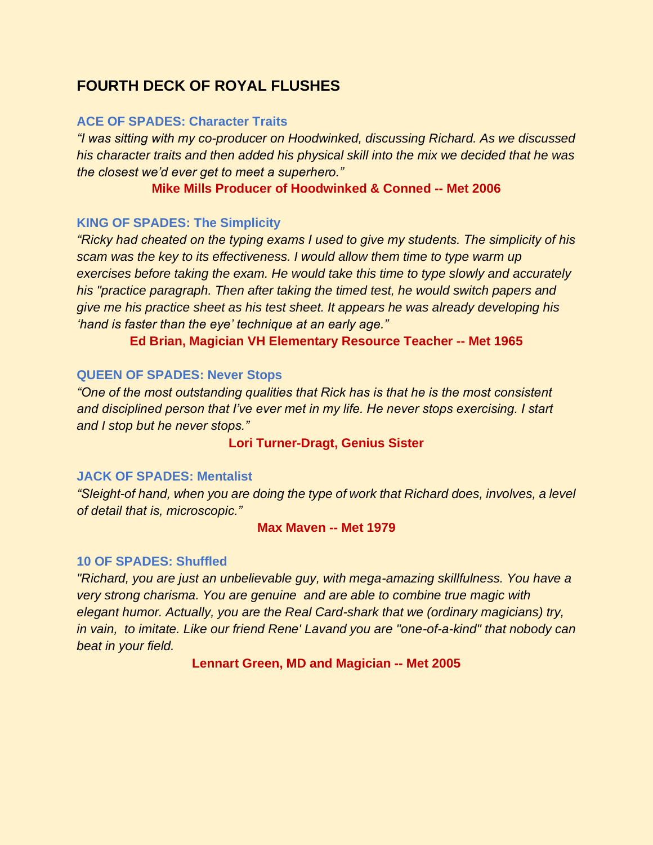# **FOURTH DECK OF ROYAL FLUSHES**

#### **ACE OF SPADES: Character Traits**

*"I was sitting with my co-producer on Hoodwinked, discussing Richard. As we discussed his character traits and then added his physical skill into the mix we decided that he was the closest we'd ever get to meet a superhero."*

#### **Mike Mills Producer of Hoodwinked & Conned -- Met 2006**

#### **KING OF SPADES: The Simplicity**

*"Ricky had cheated on the typing exams I used to give my students. The simplicity of his scam was the key to its effectiveness. I would allow them time to type warm up exercises before taking the exam. He would take this time to type slowly and accurately his "practice paragraph. Then after taking the timed test, he would switch papers and give me his practice sheet as his test sheet. It appears he was already developing his 'hand is faster than the eye' technique at an early age."* 

**Ed Brian, Magician VH Elementary Resource Teacher -- Met 1965** 

#### **QUEEN OF SPADES: Never Stops**

*"One of the most outstanding qualities that Rick has is that he is the most consistent and disciplined person that I've ever met in my life. He never stops exercising. I start and I stop but he never stops."* 

**Lori Turner-Dragt, Genius Sister** 

#### **JACK OF SPADES: Mentalist**

*"Sleight-of hand, when you are doing the type of work that Richard does, involves, a level of detail that is, microscopic."* 

#### **Max Maven -- Met 1979**

#### **10 OF SPADES: Shuffled**

*"Richard, you are just an unbelievable guy, with mega-amazing skillfulness. You have a very strong charisma. You are genuine and are able to combine true magic with elegant humor. Actually, you are the Real Card-shark that we (ordinary magicians) try, in vain, to imitate. Like our friend Rene' Lavand you are "one-of-a-kind" that nobody can beat in your field.* 

**Lennart Green, MD and Magician -- Met 2005**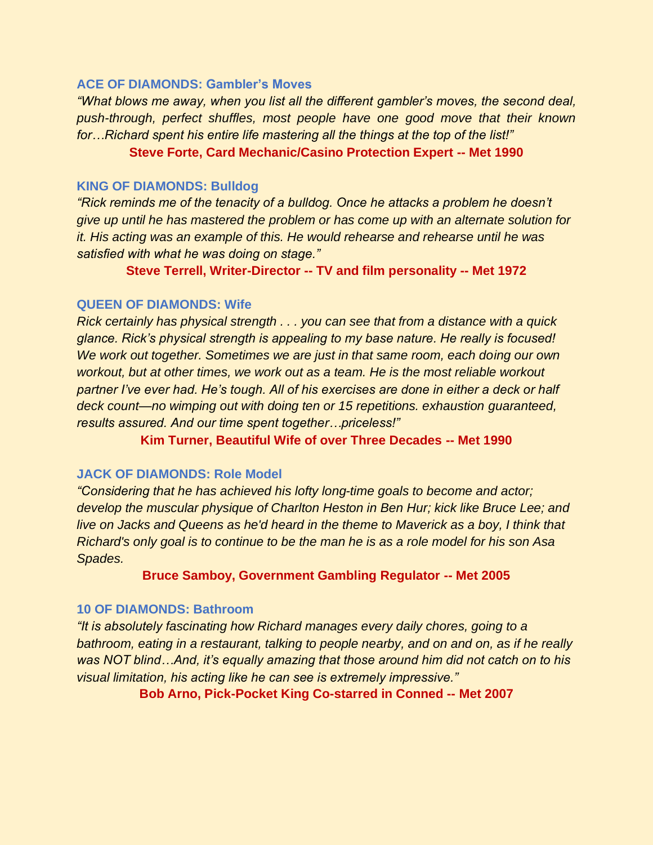#### **ACE OF DIAMONDS: Gambler's Moves**

*"What blows me away, when you list all the different gambler's moves, the second deal, push-through, perfect shuffles, most people have one good move that their known for…Richard spent his entire life mastering all the things at the top of the list!"*

**Steve Forte, Card Mechanic/Casino Protection Expert -- Met 1990**

#### **KING OF DIAMONDS: Bulldog**

*"Rick reminds me of the tenacity of a bulldog. Once he attacks a problem he doesn't give up until he has mastered the problem or has come up with an alternate solution for it. His acting was an example of this. He would rehearse and rehearse until he was satisfied with what he was doing on stage."*

**Steve Terrell, Writer-Director -- TV and film personality -- Met 1972**

#### **QUEEN OF DIAMONDS: Wife**

*Rick certainly has physical strength . . . you can see that from a distance with a quick glance. Rick's physical strength is appealing to my base nature. He really is focused! We work out together. Sometimes we are just in that same room, each doing our own workout, but at other times, we work out as a team. He is the most reliable workout partner I've ever had. He's tough. All of his exercises are done in either a deck or half deck count—no wimping out with doing ten or 15 repetitions. exhaustion guaranteed, results assured. And our time spent together…priceless!"* 

**Kim Turner, Beautiful Wife of over Three Decades -- Met 1990**

#### **JACK OF DIAMONDS: Role Model**

*"Considering that he has achieved his lofty long-time goals to become and actor; develop the muscular physique of Charlton Heston in Ben Hur; kick like Bruce Lee; and live on Jacks and Queens as he'd heard in the theme to Maverick as a boy, I think that Richard's only goal is to continue to be the man he is as a role model for his son Asa Spades.*

**Bruce Samboy, Government Gambling Regulator -- Met 2005**

#### **10 OF DIAMONDS: Bathroom**

*"It is absolutely fascinating how Richard manages every daily chores, going to a bathroom, eating in a restaurant, talking to people nearby, and on and on, as if he really was NOT blind…And, it's equally amazing that those around him did not catch on to his visual limitation, his acting like he can see is extremely impressive."* 

**Bob Arno, Pick-Pocket King Co-starred in Conned -- Met 2007**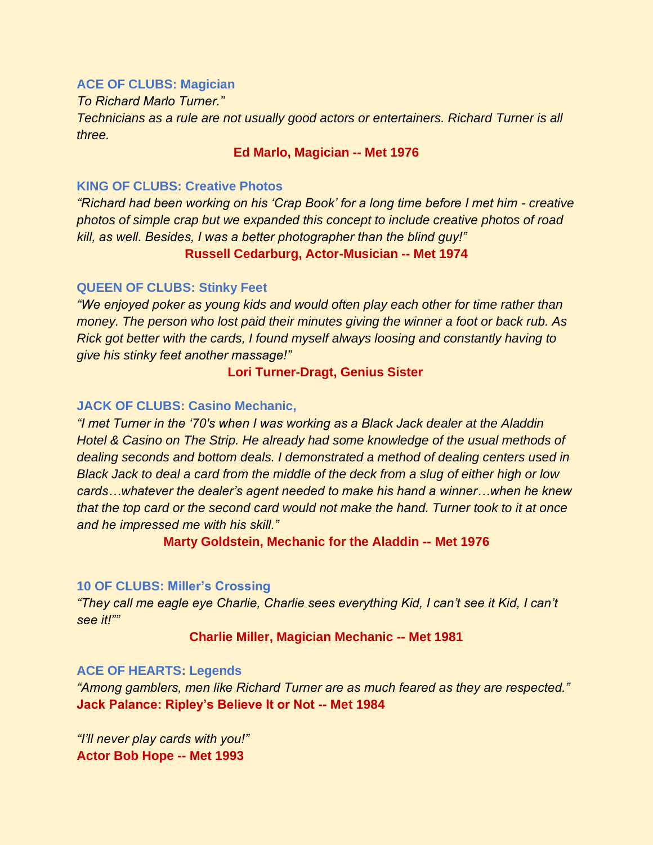#### **ACE OF CLUBS: Magician**

*To Richard Marlo Turner."* 

*Technicians as a rule are not usually good actors or entertainers. Richard Turner is all three.* 

**Ed Marlo, Magician -- Met 1976** 

#### **KING OF CLUBS: Creative Photos**

*"Richard had been working on his 'Crap Book' for a long time before I met him - creative photos of simple crap but we expanded this concept to include creative photos of road kill, as well. Besides, I was a better photographer than the blind guy!"*

#### **Russell Cedarburg, Actor-Musician -- Met 1974**

#### **QUEEN OF CLUBS: Stinky Feet**

*"We enjoyed poker as young kids and would often play each other for time rather than money. The person who lost paid their minutes giving the winner a foot or back rub. As Rick got better with the cards, I found myself always loosing and constantly having to give his stinky feet another massage!"*

#### **Lori Turner-Dragt, Genius Sister**

#### **JACK OF CLUBS: Casino Mechanic,**

*"I met Turner in the '70's when I was working as a Black Jack dealer at the Aladdin Hotel & Casino on The Strip. He already had some knowledge of the usual methods of dealing seconds and bottom deals. I demonstrated a method of dealing centers used in Black Jack to deal a card from the middle of the deck from a slug of either high or low cards…whatever the dealer's agent needed to make his hand a winner…when he knew that the top card or the second card would not make the hand. Turner took to it at once and he impressed me with his skill."*

**Marty Goldstein, Mechanic for the Aladdin -- Met 1976** 

#### **10 OF CLUBS: Miller's Crossing**

*"They call me eagle eye Charlie, Charlie sees everything Kid, I can't see it Kid, I can't see it!""* 

#### **Charlie Miller, Magician Mechanic -- Met 1981**

#### **ACE OF HEARTS: Legends**

*"Among gamblers, men like Richard Turner are as much feared as they are respected."*  **Jack Palance: Ripley's Believe It or Not -- Met 1984** 

*"I'll never play cards with you!"* **Actor Bob Hope -- Met 1993**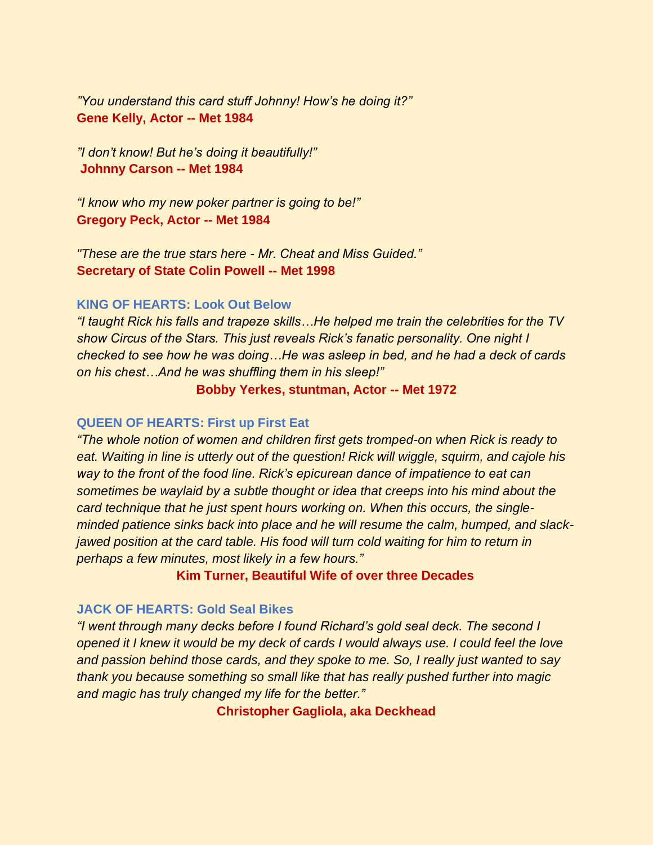*"You understand this card stuff Johnny! How's he doing it?"* **Gene Kelly, Actor -- Met 1984**

*"I don't know! But he's doing it beautifully!"* **Johnny Carson -- Met 1984** 

*"I know who my new poker partner is going to be!"* **Gregory Peck, Actor -- Met 1984** 

*"These are the true stars here - Mr. Cheat and Miss Guided."* **Secretary of State Colin Powell -- Met 1998** 

#### **KING OF HEARTS: Look Out Below**

*"I taught Rick his falls and trapeze skills…He helped me train the celebrities for the TV show Circus of the Stars. This just reveals Rick's fanatic personality. One night I checked to see how he was doing…He was asleep in bed, and he had a deck of cards on his chest…And he was shuffling them in his sleep!"* 

**Bobby Yerkes, stuntman, Actor -- Met 1972** 

#### **QUEEN OF HEARTS: First up First Eat**

*"The whole notion of women and children first gets tromped-on when Rick is ready to eat. Waiting in line is utterly out of the question! Rick will wiggle, squirm, and cajole his way to the front of the food line. Rick's epicurean dance of impatience to eat can sometimes be waylaid by a subtle thought or idea that creeps into his mind about the card technique that he just spent hours working on. When this occurs, the singleminded patience sinks back into place and he will resume the calm, humped, and slackjawed position at the card table. His food will turn cold waiting for him to return in perhaps a few minutes, most likely in a few hours."*

**Kim Turner, Beautiful Wife of over three Decades** 

#### **JACK OF HEARTS: Gold Seal Bikes**

*"I went through many decks before I found Richard's gold seal deck. The second I opened it I knew it would be my deck of cards I would always use. I could feel the love and passion behind those cards, and they spoke to me. So, I really just wanted to say thank you because something so small like that has really pushed further into magic and magic has truly changed my life for the better."* 

**Christopher Gagliola, aka Deckhead**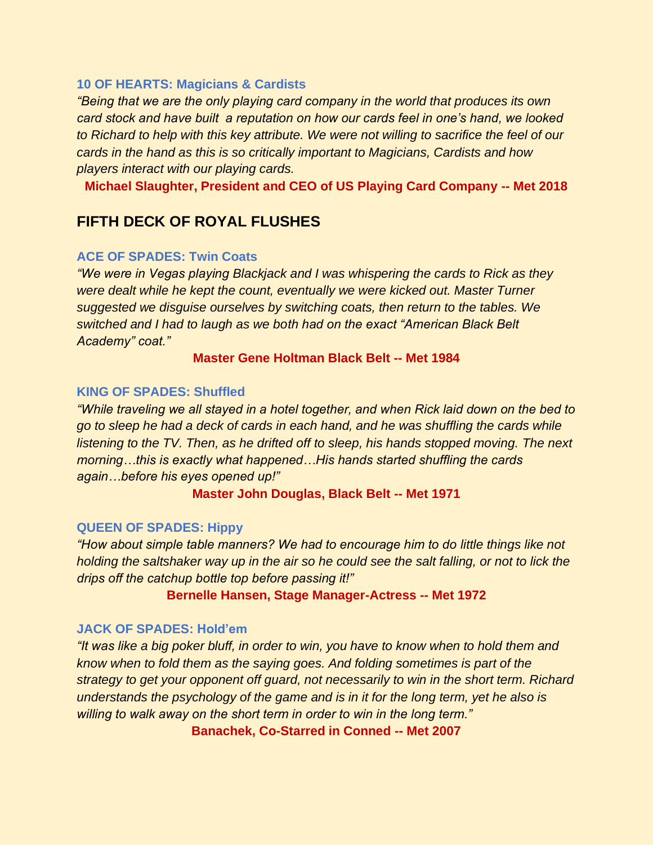#### **10 OF HEARTS: Magicians & Cardists**

*"Being that we are the only playing card company in the world that produces its own card stock and have built a reputation on how our cards feel in one's hand, we looked to Richard to help with this key attribute. We were not willing to sacrifice the feel of our cards in the hand as this is so critically important to Magicians, Cardists and how players interact with our playing cards.* 

**Michael Slaughter, President and CEO of US Playing Card Company -- Met 2018**

# **FIFTH DECK OF ROYAL FLUSHES**

#### **ACE OF SPADES: Twin Coats**

*"We were in Vegas playing Blackjack and I was whispering the cards to Rick as they were dealt while he kept the count, eventually we were kicked out. Master Turner suggested we disguise ourselves by switching coats, then return to the tables. We switched and I had to laugh as we both had on the exact "American Black Belt Academy" coat."*

#### **Master Gene Holtman Black Belt -- Met 1984**

## **KING OF SPADES: Shuffled**

*"While traveling we all stayed in a hotel together, and when Rick laid down on the bed to go to sleep he had a deck of cards in each hand, and he was shuffling the cards while listening to the TV. Then, as he drifted off to sleep, his hands stopped moving. The next morning…this is exactly what happened…His hands started shuffling the cards again…before his eyes opened up!"*

**Master John Douglas, Black Belt -- Met 1971**

#### **QUEEN OF SPADES: Hippy**

*"How about simple table manners? We had to encourage him to do little things like not holding the saltshaker way up in the air so he could see the salt falling, or not to lick the drips off the catchup bottle top before passing it!"*

#### **Bernelle Hansen, Stage Manager-Actress -- Met 1972**

#### **JACK OF SPADES: Hold'em**

*"It was like a big poker bluff, in order to win, you have to know when to hold them and know when to fold them as the saying goes. And folding sometimes is part of the strategy to get your opponent off guard, not necessarily to win in the short term. Richard understands the psychology of the game and is in it for the long term, yet he also is willing to walk away on the short term in order to win in the long term."*

**Banachek, Co-Starred in Conned -- Met 2007**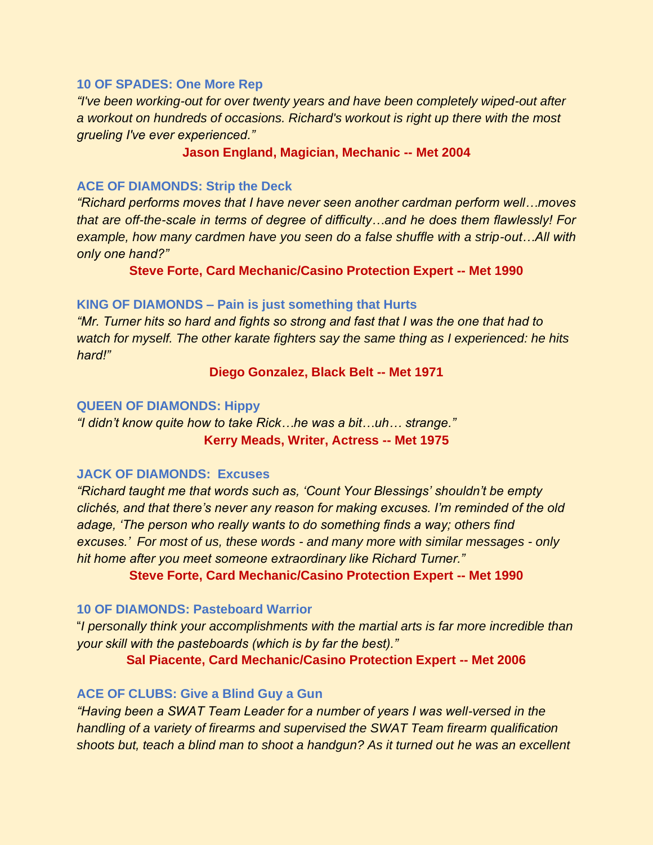#### **10 OF SPADES: One More Rep**

*"I've been working-out for over twenty years and have been completely wiped-out after a workout on hundreds of occasions. Richard's workout is right up there with the most grueling I've ever experienced."*

#### **Jason England, Magician, Mechanic -- Met 2004**

#### **ACE OF DIAMONDS: Strip the Deck**

*"Richard performs moves that I have never seen another cardman perform well…moves that are off-the-scale in terms of degree of difficulty…and he does them flawlessly! For example, how many cardmen have you seen do a false shuffle with a strip-out…All with only one hand?"*

**Steve Forte, Card Mechanic/Casino Protection Expert -- Met 1990**

#### **KING OF DIAMONDS – Pain is just something that Hurts**

*"Mr. Turner hits so hard and fights so strong and fast that I was the one that had to watch for myself. The other karate fighters say the same thing as I experienced: he hits hard!"* 

**Diego Gonzalez, Black Belt -- Met 1971**

#### **QUEEN OF DIAMONDS: Hippy**

*"I didn't know quite how to take Rick…he was a bit…uh… strange."* **Kerry Meads, Writer, Actress -- Met 1975**

#### **JACK OF DIAMONDS: Excuses**

*"Richard taught me that words such as, 'Count Your Blessings' shouldn't be empty clichés, and that there's never any reason for making excuses. I'm reminded of the old adage, 'The person who really wants to do something finds a way; others find excuses.' For most of us, these words - and many more with similar messages - only hit home after you meet someone extraordinary like Richard Turner."*

**Steve Forte, Card Mechanic/Casino Protection Expert -- Met 1990**

#### **10 OF DIAMONDS: Pasteboard Warrior**

"*I personally think your accomplishments with the martial arts is far more incredible than your skill with the pasteboards (which is by far the best)."*

**Sal Piacente, Card Mechanic/Casino Protection Expert -- Met 2006**

#### **ACE OF CLUBS: Give a Blind Guy a Gun**

*"Having been a SWAT Team Leader for a number of years I was well-versed in the handling of a variety of firearms and supervised the SWAT Team firearm qualification shoots but, teach a blind man to shoot a handgun? As it turned out he was an excellent*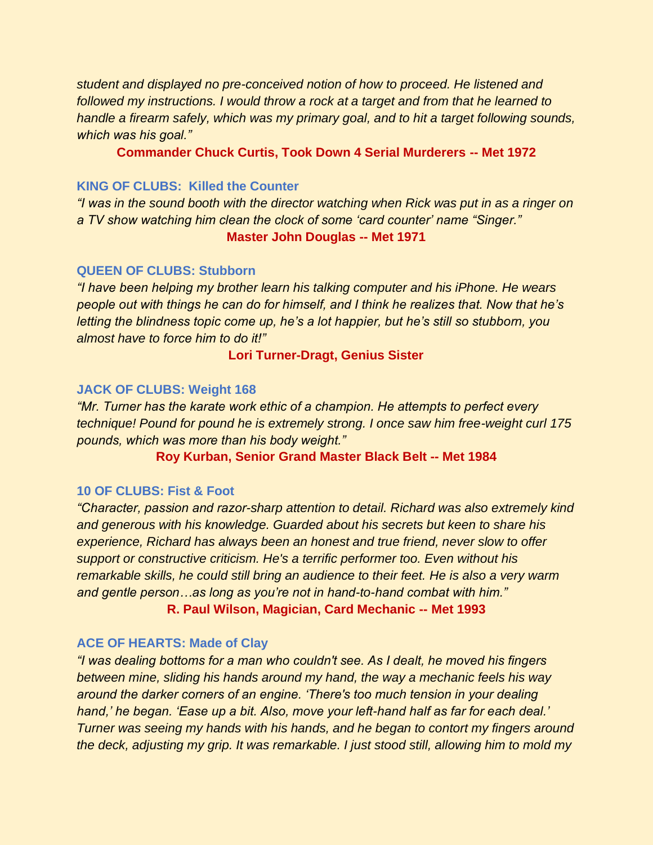*student and displayed no pre-conceived notion of how to proceed. He listened and followed my instructions. I would throw a rock at a target and from that he learned to handle a firearm safely, which was my primary goal, and to hit a target following sounds, which was his goal."*

**Commander Chuck Curtis, Took Down 4 Serial Murderers -- Met 1972** 

#### **KING OF CLUBS: Killed the Counter**

*"I was in the sound booth with the director watching when Rick was put in as a ringer on a TV show watching him clean the clock of some 'card counter' name "Singer."*

#### **Master John Douglas -- Met 1971**

#### **QUEEN OF CLUBS: Stubborn**

*"I have been helping my brother learn his talking computer and his iPhone. He wears people out with things he can do for himself, and I think he realizes that. Now that he's letting the blindness topic come up, he's a lot happier, but he's still so stubborn, you almost have to force him to do it!"*

### **Lori Turner-Dragt, Genius Sister**

### **JACK OF CLUBS: Weight 168**

*"Mr. Turner has the karate work ethic of a champion. He attempts to perfect every technique! Pound for pound he is extremely strong. I once saw him free-weight curl 175 pounds, which was more than his body weight."*

#### **Roy Kurban, Senior Grand Master Black Belt -- Met 1984**

#### **10 OF CLUBS: Fist & Foot**

*"Character, passion and razor-sharp attention to detail. Richard was also extremely kind and generous with his knowledge. Guarded about his secrets but keen to share his experience, Richard has always been an honest and true friend, never slow to offer support or constructive criticism. He's a terrific performer too. Even without his remarkable skills, he could still bring an audience to their feet. He is also a very warm and gentle person…as long as you're not in hand-to-hand combat with him."* 

**R. Paul Wilson, Magician, Card Mechanic -- Met 1993**

# **ACE OF HEARTS: Made of Clay**

*"I was dealing bottoms for a man who couldn't see. As I dealt, he moved his fingers between mine, sliding his hands around my hand, the way a mechanic feels his way around the darker corners of an engine. 'There's too much tension in your dealing hand,' he began. 'Ease up a bit. Also, move your left-hand half as far for each deal.' Turner was seeing my hands with his hands, and he began to contort my fingers around the deck, adjusting my grip. It was remarkable. I just stood still, allowing him to mold my*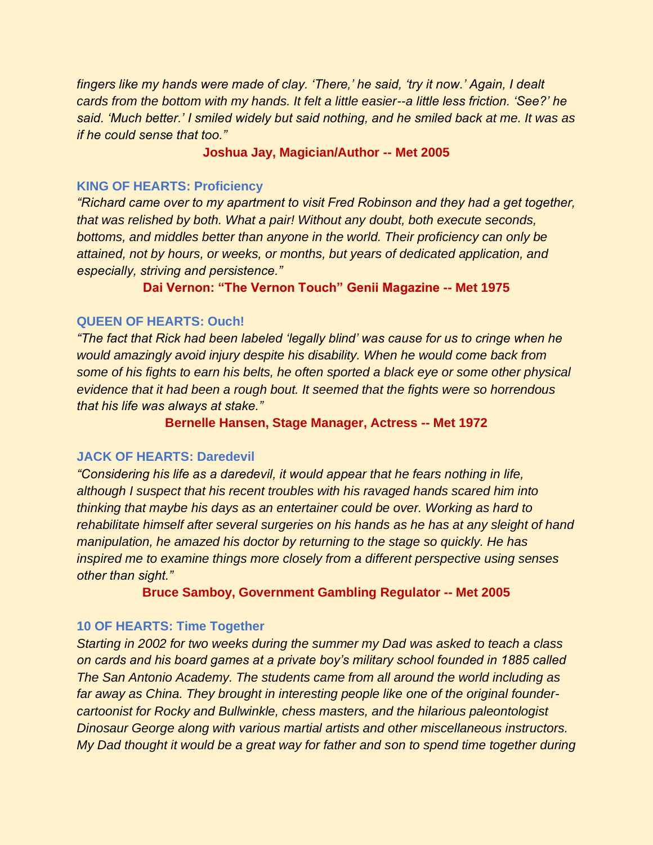*fingers like my hands were made of clay. 'There,' he said, 'try it now.' Again, I dealt cards from the bottom with my hands. It felt a little easier--a little less friction. 'See?' he said. 'Much better.' I smiled widely but said nothing, and he smiled back at me. It was as if he could sense that too."*

#### **Joshua Jay, Magician/Author -- Met 2005**

#### **KING OF HEARTS: Proficiency**

*"Richard came over to my apartment to visit Fred Robinson and they had a get together, that was relished by both. What a pair! Without any doubt, both execute seconds, bottoms, and middles better than anyone in the world. Their proficiency can only be attained, not by hours, or weeks, or months, but years of dedicated application, and especially, striving and persistence."*

**Dai Vernon: "The Vernon Touch" Genii Magazine -- Met 1975**

#### **QUEEN OF HEARTS: Ouch!**

*"The fact that Rick had been labeled 'legally blind' was cause for us to cringe when he would amazingly avoid injury despite his disability. When he would come back from some of his fights to earn his belts, he often sported a black eye or some other physical evidence that it had been a rough bout. It seemed that the fights were so horrendous that his life was always at stake."* 

**Bernelle Hansen, Stage Manager, Actress -- Met 1972**

#### **JACK OF HEARTS: Daredevil**

*"Considering his life as a daredevil, it would appear that he fears nothing in life, although I suspect that his recent troubles with his ravaged hands scared him into thinking that maybe his days as an entertainer could be over. Working as hard to rehabilitate himself after several surgeries on his hands as he has at any sleight of hand manipulation, he amazed his doctor by returning to the stage so quickly. He has inspired me to examine things more closely from a different perspective using senses other than sight."*

**Bruce Samboy, Government Gambling Regulator -- Met 2005**

#### **10 OF HEARTS: Time Together**

*Starting in 2002 for two weeks during the summer my Dad was asked to teach a class on cards and his board games at a private boy's military school founded in 1885 called The San Antonio Academy. The students came from all around the world including as far away as China. They brought in interesting people like one of the original foundercartoonist for Rocky and Bullwinkle, chess masters, and the hilarious paleontologist Dinosaur George along with various martial artists and other miscellaneous instructors. My Dad thought it would be a great way for father and son to spend time together during*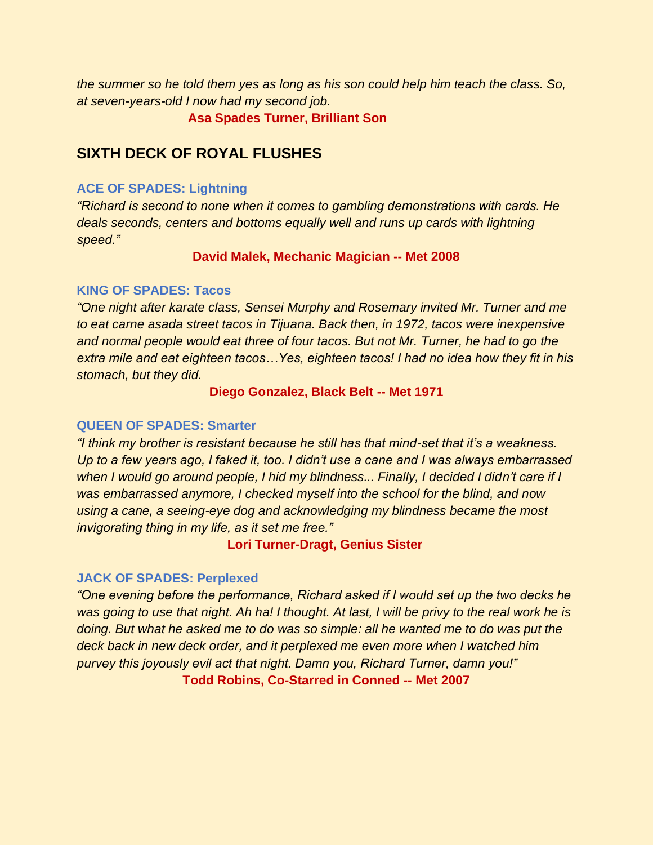*the summer so he told them yes as long as his son could help him teach the class. So, at seven-years-old I now had my second job.* 

**Asa Spades Turner, Brilliant Son** 

# **SIXTH DECK OF ROYAL FLUSHES**

#### **ACE OF SPADES: Lightning**

*"Richard is second to none when it comes to gambling demonstrations with cards. He deals seconds, centers and bottoms equally well and runs up cards with lightning speed."*

#### **David Malek, Mechanic Magician -- Met 2008**

#### **KING OF SPADES: Tacos**

*"One night after karate class, Sensei Murphy and Rosemary invited Mr. Turner and me to eat carne asada street tacos in Tijuana. Back then, in 1972, tacos were inexpensive and normal people would eat three of four tacos. But not Mr. Turner, he had to go the extra mile and eat eighteen tacos…Yes, eighteen tacos! I had no idea how they fit in his stomach, but they did.* 

#### **Diego Gonzalez, Black Belt -- Met 1971**

#### **QUEEN OF SPADES: Smarter**

*"I think my brother is resistant because he still has that mind-set that it's a weakness. Up to a few years ago, I faked it, too. I didn't use a cane and I was always embarrassed when I would go around people, I hid my blindness... Finally, I decided I didn't care if I was embarrassed anymore, I checked myself into the school for the blind, and now using a cane, a seeing-eye dog and acknowledging my blindness became the most invigorating thing in my life, as it set me free."* 

**Lori Turner-Dragt, Genius Sister**

#### **JACK OF SPADES: Perplexed**

*"One evening before the performance, Richard asked if I would set up the two decks he was going to use that night. Ah ha! I thought. At last, I will be privy to the real work he is doing. But what he asked me to do was so simple: all he wanted me to do was put the deck back in new deck order, and it perplexed me even more when I watched him purvey this joyously evil act that night. Damn you, Richard Turner, damn you!"* **Todd Robins, Co-Starred in Conned -- Met 2007**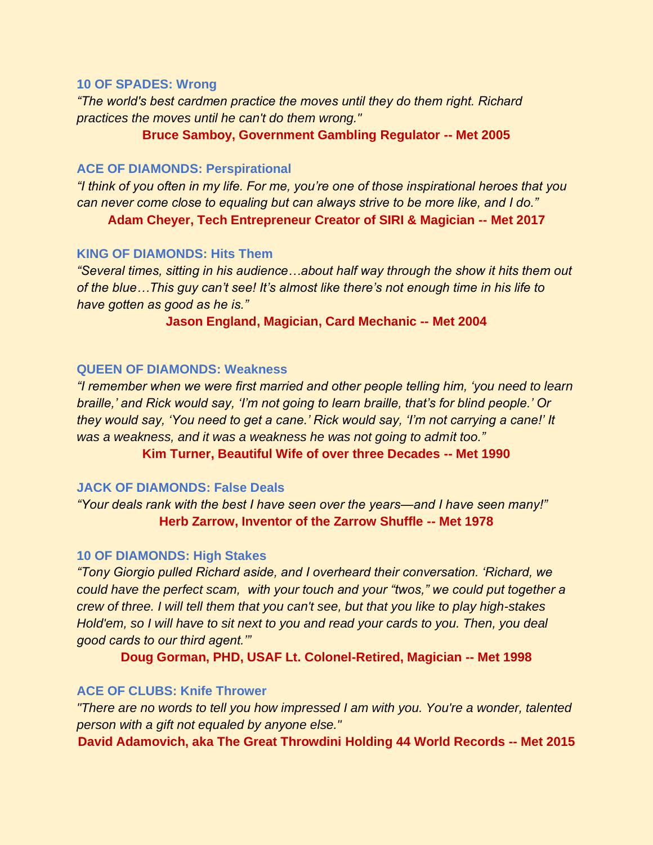#### **10 OF SPADES: Wrong**

*"The world's best cardmen practice the moves until they do them right. Richard practices the moves until he can't do them wrong."*

**Bruce Samboy, Government Gambling Regulator -- Met 2005**

#### **ACE OF DIAMONDS: Perspirational**

*"I think of you often in my life. For me, you're one of those inspirational heroes that you can never come close to equaling but can always strive to be more like, and I do."* 

**Adam Cheyer, Tech Entrepreneur Creator of SIRI & Magician -- Met 2017**

#### **KING OF DIAMONDS: Hits Them**

*"Several times, sitting in his audience…about half way through the show it hits them out of the blue…This guy can't see! It's almost like there's not enough time in his life to have gotten as good as he is."*

#### **Jason England, Magician, Card Mechanic -- Met 2004**

#### **QUEEN OF DIAMONDS: Weakness**

*"I remember when we were first married and other people telling him, 'you need to learn braille,' and Rick would say, 'I'm not going to learn braille, that's for blind people.' Or they would say, 'You need to get a cane.' Rick would say, 'I'm not carrying a cane!' It was a weakness, and it was a weakness he was not going to admit too."*

**Kim Turner, Beautiful Wife of over three Decades -- Met 1990**

#### **JACK OF DIAMONDS: False Deals**

*"Your deals rank with the best I have seen over the years—and I have seen many!"* **Herb Zarrow, Inventor of the Zarrow Shuffle -- Met 1978**

#### **10 OF DIAMONDS: High Stakes**

*"Tony Giorgio pulled Richard aside, and I overheard their conversation. 'Richard, we could have the perfect scam, with your touch and your "twos," we could put together a crew of three. I will tell them that you can't see, but that you like to play high-stakes Hold'em, so I will have to sit next to you and read your cards to you. Then, you deal good cards to our third agent.'"*

**Doug Gorman, PHD, USAF Lt. Colonel-Retired, Magician -- Met 1998**

#### **ACE OF CLUBS: Knife Thrower**

*"There are no words to tell you how impressed I am with you. You're a wonder, talented person with a gift not equaled by anyone else."* 

**David Adamovich, aka The Great Throwdini Holding 44 World Records -- Met 2015**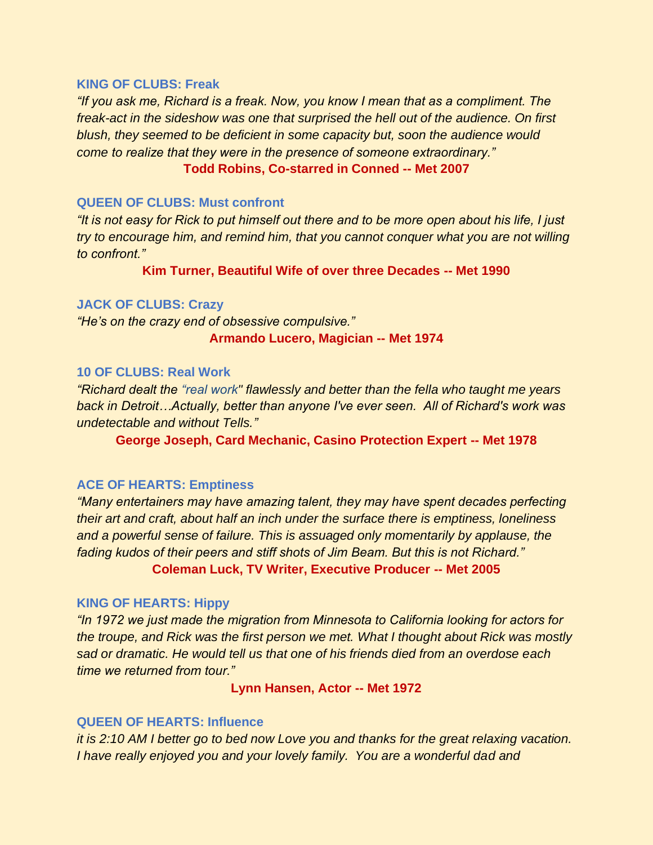#### **KING OF CLUBS: Freak**

*"If you ask me, Richard is a freak. Now, you know I mean that as a compliment. The freak-act in the sideshow was one that surprised the hell out of the audience. On first blush, they seemed to be deficient in some capacity but, soon the audience would come to realize that they were in the presence of someone extraordinary."* 

#### **Todd Robins, Co-starred in Conned -- Met 2007**

#### **QUEEN OF CLUBS: Must confront**

*"It is not easy for Rick to put himself out there and to be more open about his life, I just try to encourage him, and remind him, that you cannot conquer what you are not willing to confront."*

**Kim Turner, Beautiful Wife of over three Decades -- Met 1990**

#### **JACK OF CLUBS: Crazy**

*"He's on the crazy end of obsessive compulsive."* **Armando Lucero, Magician -- Met 1974**

#### **10 OF CLUBS: Real Work**

*"Richard dealt the "real work" flawlessly and better than the fella who taught me years back in Detroit…Actually, better than anyone I've ever seen. All of Richard's work was undetectable and without Tells."*

**George Joseph, Card Mechanic, Casino Protection Expert -- Met 1978**

#### **ACE OF HEARTS: Emptiness**

*"Many entertainers may have amazing talent, they may have spent decades perfecting their art and craft, about half an inch under the surface there is emptiness, loneliness and a powerful sense of failure. This is assuaged only momentarily by applause, the fading kudos of their peers and stiff shots of Jim Beam. But this is not Richard."* **Coleman Luck, TV Writer, Executive Producer -- Met 2005**

#### **KING OF HEARTS: Hippy**

*"In 1972 we just made the migration from Minnesota to California looking for actors for the troupe, and Rick was the first person we met. What I thought about Rick was mostly sad or dramatic. He would tell us that one of his friends died from an overdose each time we returned from tour."*

**Lynn Hansen, Actor -- Met 1972**

#### **QUEEN OF HEARTS: Influence**

*it is 2:10 AM I better go to bed now Love you and thanks for the great relaxing vacation. I have really enjoyed you and your lovely family. You are a wonderful dad and*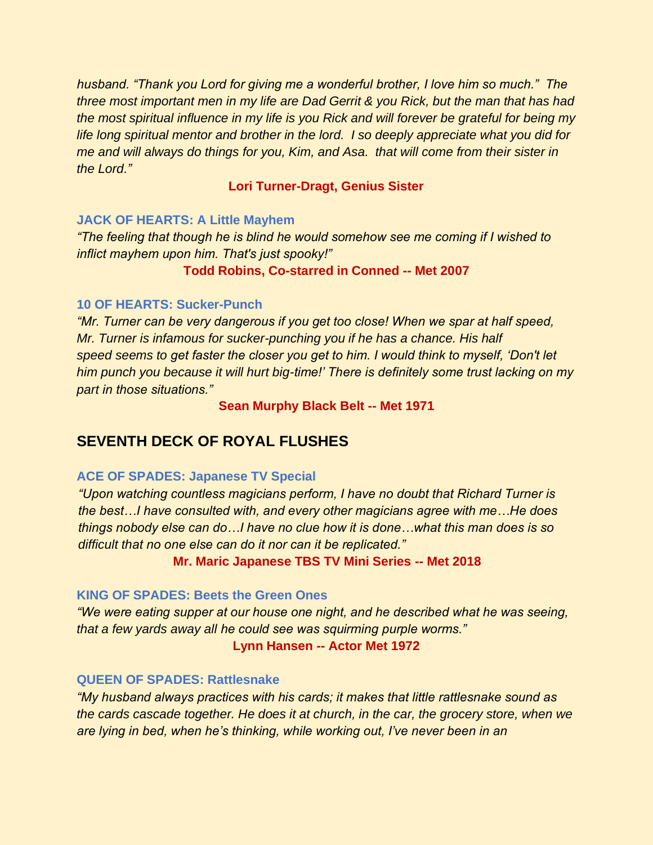*husband. "Thank you Lord for giving me a wonderful brother, I love him so much." The three most important men in my life are Dad Gerrit & you Rick, but the man that has had the most spiritual influence in my life is you Rick and will forever be grateful for being my life long spiritual mentor and brother in the lord. I so deeply appreciate what you did for me and will always do things for you, Kim, and Asa. that will come from their sister in the Lord."* 

# **Lori Turner-Dragt, Genius Sister**

### **JACK OF HEARTS: A Little Mayhem**

*"The feeling that though he is blind he would somehow see me coming if I wished to inflict mayhem upon him. That's just spooky!"* 

### **Todd Robins, Co-starred in Conned -- Met 2007**

### **10 OF HEARTS: Sucker-Punch**

*"Mr. Turner can be very dangerous if you get too close! When we spar at half speed, Mr. Turner is infamous for sucker-punching you if he has a chance. His half speed seems to get faster the closer you get to him. I would think to myself, 'Don't let him punch you because it will hurt big-time!' There is definitely some trust lacking on my part in those situations."*

**Sean Murphy Black Belt -- Met 1971** 

# **SEVENTH DECK OF ROYAL FLUSHES**

#### **ACE OF SPADES: Japanese TV Special**

*"Upon watching countless magicians perform, I have no doubt that Richard Turner is the best…I have consulted with, and every other magicians agree with me…He does things nobody else can do…I have no clue how it is done…what this man does is so difficult that no one else can do it nor can it be replicated."* 

**Mr. Maric Japanese TBS TV Mini Series -- Met 2018** 

#### **KING OF SPADES: Beets the Green Ones**

*"We were eating supper at our house one night, and he described what he was seeing, that a few yards away all he could see was squirming purple worms."* **Lynn Hansen -- Actor Met 1972** 

#### **QUEEN OF SPADES: Rattlesnake**

*"My husband always practices with his cards; it makes that little rattlesnake sound as the cards cascade together. He does it at church, in the car, the grocery store, when we are lying in bed, when he's thinking, while working out, I've never been in an*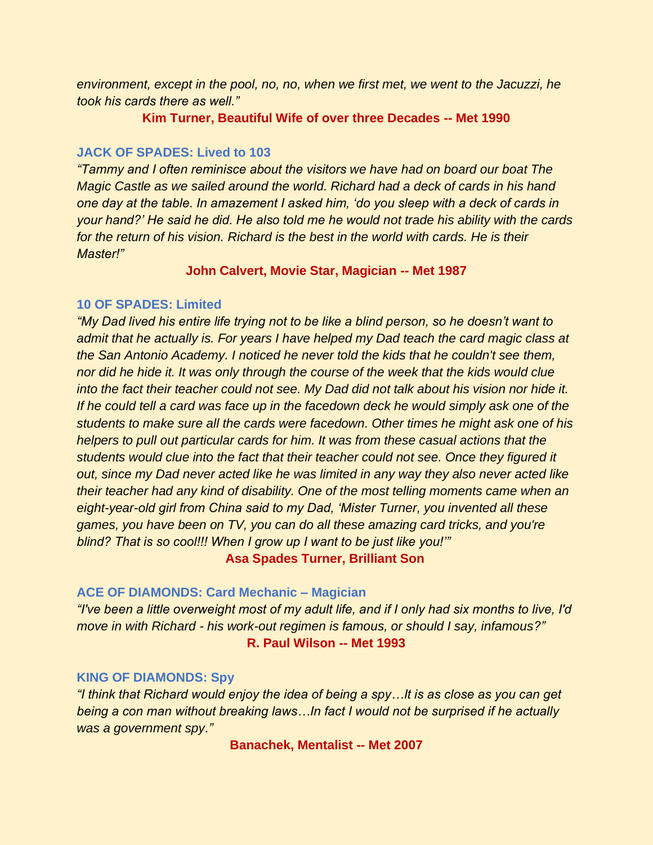*environment, except in the pool, no, no, when we first met, we went to the Jacuzzi, he took his cards there as well."*

**Kim Turner, Beautiful Wife of over three Decades -- Met 1990** 

#### **JACK OF SPADES: Lived to 103**

*"Tammy and I often reminisce about the visitors we have had on board our boat The Magic Castle as we sailed around the world. Richard had a deck of cards in his hand one day at the table. In amazement I asked him, 'do you sleep with a deck of cards in your hand?' He said he did. He also told me he would not trade his ability with the cards*  for the return of his vision. Richard is the best in the world with cards. He is their *Master!"*

**John Calvert, Movie Star, Magician -- Met 1987** 

#### **10 OF SPADES: Limited**

*"My Dad lived his entire life trying not to be like a blind person, so he doesn't want to admit that he actually is. For years I have helped my Dad teach the card magic class at the San Antonio Academy. I noticed he never told the kids that he couldn't see them, nor did he hide it. It was only through the course of the week that the kids would clue into the fact their teacher could not see. My Dad did not talk about his vision nor hide it. If he could tell a card was face up in the facedown deck he would simply ask one of the students to make sure all the cards were facedown. Other times he might ask one of his helpers to pull out particular cards for him. It was from these casual actions that the students would clue into the fact that their teacher could not see. Once they figured it out, since my Dad never acted like he was limited in any way they also never acted like their teacher had any kind of disability. One of the most telling moments came when an eight-year-old girl from China said to my Dad, 'Mister Turner, you invented all these games, you have been on TV, you can do all these amazing card tricks, and you're blind? That is so cool!!! When I grow up I want to be just like you!'"*

**Asa Spades Turner, Brilliant Son** 

#### **ACE OF DIAMONDS: Card Mechanic – Magician**

*"I've been a little overweight most of my adult life, and if I only had six months to live, I'd move in with Richard - his work-out regimen is famous, or should I say, infamous?"* **R. Paul Wilson -- Met 1993**

#### **KING OF DIAMONDS: Spy**

*"I think that Richard would enjoy the idea of being a spy…It is as close as you can get being a con man without breaking laws…In fact I would not be surprised if he actually was a government spy."*

**Banachek, Mentalist -- Met 2007**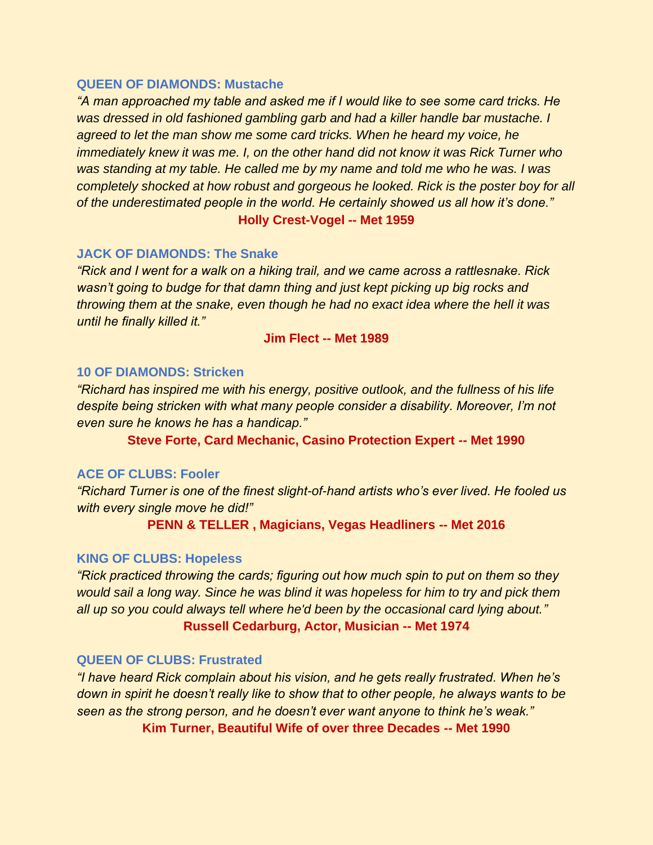#### **QUEEN OF DIAMONDS: Mustache**

*"A man approached my table and asked me if I would like to see some card tricks. He was dressed in old fashioned gambling garb and had a killer handle bar mustache. I agreed to let the man show me some card tricks. When he heard my voice, he immediately knew it was me. I, on the other hand did not know it was Rick Turner who was standing at my table. He called me by my name and told me who he was. I was completely shocked at how robust and gorgeous he looked. Rick is the poster boy for all of the underestimated people in the world. He certainly showed us all how it's done."*

# **Holly Crest-Vogel -- Met 1959**

#### **JACK OF DIAMONDS: The Snake**

*"Rick and I went for a walk on a hiking trail, and we came across a rattlesnake. Rick wasn't going to budge for that damn thing and just kept picking up big rocks and throwing them at the snake, even though he had no exact idea where the hell it was until he finally killed it."* 

#### **Jim Flect -- Met 1989**

#### **10 OF DIAMONDS: Stricken**

*"Richard has inspired me with his energy, positive outlook, and the fullness of his life despite being stricken with what many people consider a disability. Moreover, I'm not even sure he knows he has a handicap."*

**Steve Forte, Card Mechanic, Casino Protection Expert -- Met 1990**

#### **ACE OF CLUBS: Fooler**

*"Richard Turner is one of the finest slight-of-hand artists who's ever lived. He fooled us with every single move he did!"*

**PENN & TELLER , Magicians, Vegas Headliners -- Met 2016**

#### **KING OF CLUBS: Hopeless**

*"Rick practiced throwing the cards; figuring out how much spin to put on them so they would sail a long way. Since he was blind it was hopeless for him to try and pick them all up so you could always tell where he'd been by the occasional card lying about."*  **Russell Cedarburg, Actor, Musician -- Met 1974**

#### **QUEEN OF CLUBS: Frustrated**

*"I have heard Rick complain about his vision, and he gets really frustrated. When he's down in spirit he doesn't really like to show that to other people, he always wants to be seen as the strong person, and he doesn't ever want anyone to think he's weak."*

**Kim Turner, Beautiful Wife of over three Decades -- Met 1990**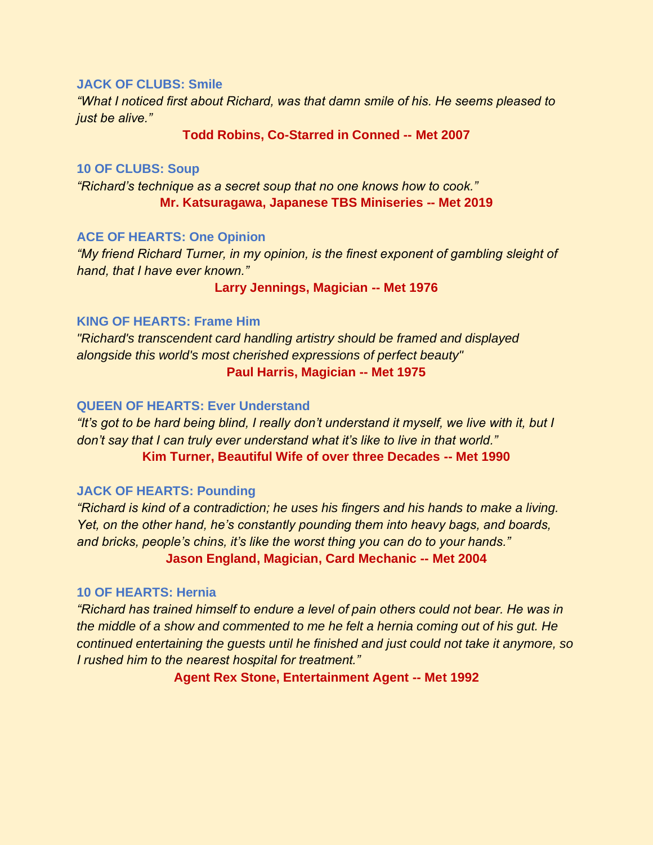#### **JACK OF CLUBS: Smile**

*"What I noticed first about Richard, was that damn smile of his. He seems pleased to just be alive."* 

**Todd Robins, Co-Starred in Conned -- Met 2007**

#### **10 OF CLUBS: Soup**

*"Richard's technique as a secret soup that no one knows how to cook."* **Mr. Katsuragawa, Japanese TBS Miniseries -- Met 2019**

#### **ACE OF HEARTS: One Opinion**

*"My friend Richard Turner, in my opinion, is the finest exponent of gambling sleight of hand, that I have ever known."* 

#### **Larry Jennings, Magician -- Met 1976**

#### **KING OF HEARTS: Frame Him**

*"Richard's transcendent card handling artistry should be framed and displayed alongside this world's most cherished expressions of perfect beauty"* **Paul Harris, Magician -- Met 1975**

#### **QUEEN OF HEARTS: Ever Understand**

*"It's got to be hard being blind, I really don't understand it myself, we live with it, but I don't say that I can truly ever understand what it's like to live in that world."* **Kim Turner, Beautiful Wife of over three Decades -- Met 1990**

#### **JACK OF HEARTS: Pounding**

*"Richard is kind of a contradiction; he uses his fingers and his hands to make a living. Yet, on the other hand, he's constantly pounding them into heavy bags, and boards, and bricks, people's chins, it's like the worst thing you can do to your hands."* **Jason England, Magician, Card Mechanic -- Met 2004**

#### **10 OF HEARTS: Hernia**

*"Richard has trained himself to endure a level of pain others could not bear. He was in the middle of a show and commented to me he felt a hernia coming out of his gut. He continued entertaining the guests until he finished and just could not take it anymore, so I rushed him to the nearest hospital for treatment."*

**Agent Rex Stone, Entertainment Agent -- Met 1992**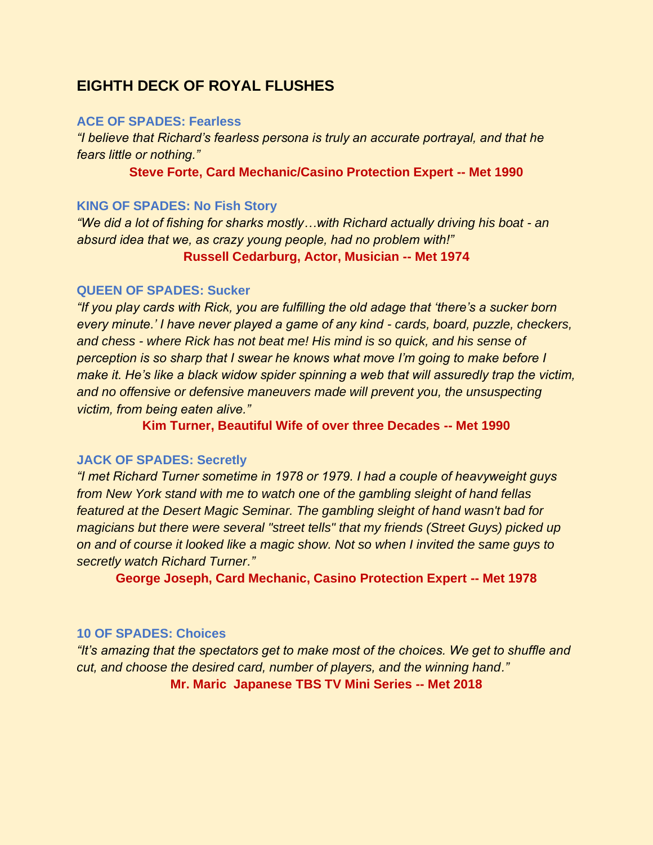# **EIGHTH DECK OF ROYAL FLUSHES**

#### **ACE OF SPADES: Fearless**

*"I believe that Richard's fearless persona is truly an accurate portrayal, and that he fears little or nothing."* 

**Steve Forte, Card Mechanic/Casino Protection Expert -- Met 1990**

#### **KING OF SPADES: No Fish Story**

*"We did a lot of fishing for sharks mostly…with Richard actually driving his boat - an absurd idea that we, as crazy young people, had no problem with!"*

#### **Russell Cedarburg, Actor, Musician -- Met 1974**

#### **QUEEN OF SPADES: Sucker**

*"If you play cards with Rick, you are fulfilling the old adage that 'there's a sucker born every minute.' I have never played a game of any kind - cards, board, puzzle, checkers, and chess - where Rick has not beat me! His mind is so quick, and his sense of perception is so sharp that I swear he knows what move I'm going to make before I make it. He's like a black widow spider spinning a web that will assuredly trap the victim,*  and no offensive or defensive maneuvers made will prevent you, the unsuspecting *victim, from being eaten alive."* 

**Kim Turner, Beautiful Wife of over three Decades -- Met 1990**

#### **JACK OF SPADES: Secretly**

*"I met Richard Turner sometime in 1978 or 1979. I had a couple of heavyweight guys from New York stand with me to watch one of the gambling sleight of hand fellas featured at the Desert Magic Seminar. The gambling sleight of hand wasn't bad for magicians but there were several "street tells" that my friends (Street Guys) picked up on and of course it looked like a magic show. Not so when I invited the same guys to secretly watch Richard Turner."* 

**George Joseph, Card Mechanic, Casino Protection Expert -- Met 1978**

#### **10 OF SPADES: Choices**

*"It's amazing that the spectators get to make most of the choices. We get to shuffle and cut, and choose the desired card, number of players, and the winning hand."*  **Mr. Maric Japanese TBS TV Mini Series -- Met 2018**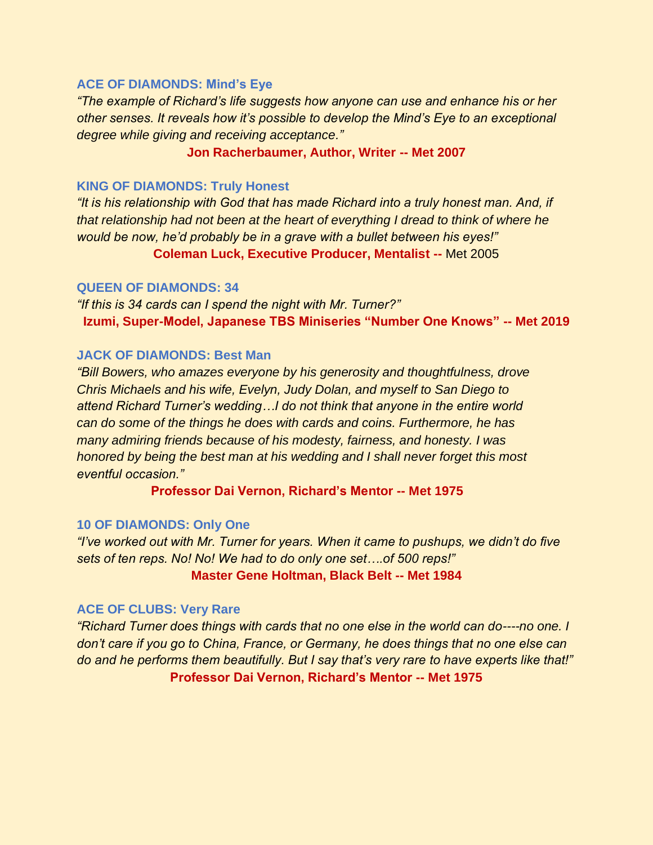#### **ACE OF DIAMONDS: Mind's Eye**

*"The example of Richard's life suggests how anyone can use and enhance his or her other senses. It reveals how it's possible to develop the Mind's Eye to an exceptional degree while giving and receiving acceptance."* 

#### **Jon Racherbaumer, Author, Writer -- Met 2007**

#### **KING OF DIAMONDS: Truly Honest**

*"It is his relationship with God that has made Richard into a truly honest man. And, if that relationship had not been at the heart of everything I dread to think of where he would be now, he'd probably be in a grave with a bullet between his eyes!"* 

**Coleman Luck, Executive Producer, Mentalist --** Met 2005

#### **QUEEN OF DIAMONDS: 34**

*"If this is 34 cards can I spend the night with Mr. Turner?"* **Izumi, Super-Model, Japanese TBS Miniseries "Number One Knows" -- Met 2019**

#### **JACK OF DIAMONDS: Best Man**

*"Bill Bowers, who amazes everyone by his generosity and thoughtfulness, drove Chris Michaels and his wife, Evelyn, Judy Dolan, and myself to San Diego to attend Richard Turner's wedding…I do not think that anyone in the entire world can do some of the things he does with cards and coins. Furthermore, he has many admiring friends because of his modesty, fairness, and honesty. I was honored by being the best man at his wedding and I shall never forget this most eventful occasion."*

**Professor Dai Vernon, Richard's Mentor -- Met 1975**

#### **10 OF DIAMONDS: Only One**

*"I've worked out with Mr. Turner for years. When it came to pushups, we didn't do five sets of ten reps. No! No! We had to do only one set….of 500 reps!"* **Master Gene Holtman, Black Belt -- Met 1984**

#### **ACE OF CLUBS: Very Rare**

*"Richard Turner does things with cards that no one else in the world can do----no one. I don't care if you go to China, France, or Germany, he does things that no one else can do and he performs them beautifully. But I say that's very rare to have experts like that!"* **Professor Dai Vernon, Richard's Mentor -- Met 1975**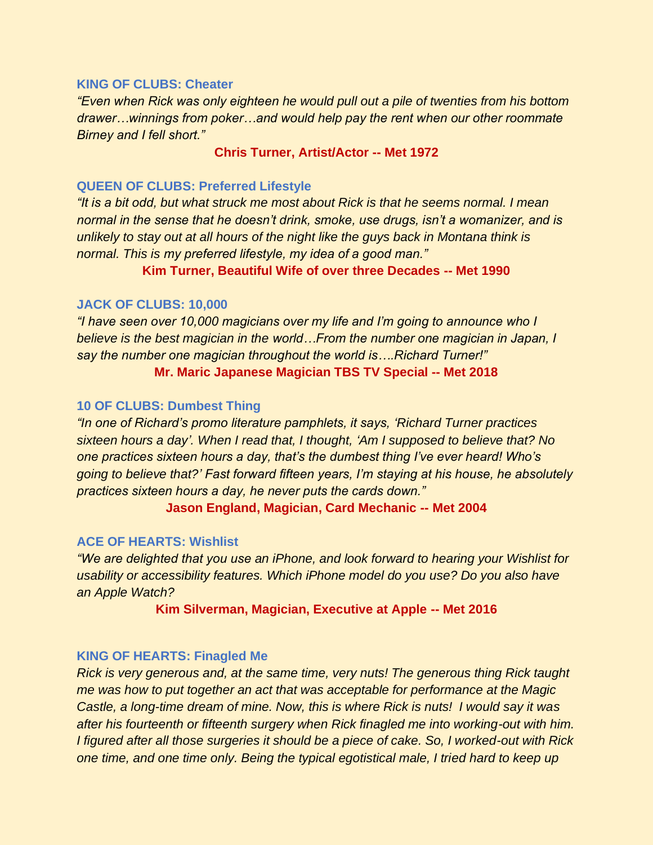#### **KING OF CLUBS: Cheater**

*"Even when Rick was only eighteen he would pull out a pile of twenties from his bottom drawer…winnings from poker…and would help pay the rent when our other roommate Birney and I fell short."*

#### **Chris Turner, Artist/Actor -- Met 1972**

#### **QUEEN OF CLUBS: Preferred Lifestyle**

*"It is a bit odd, but what struck me most about Rick is that he seems normal. I mean normal in the sense that he doesn't drink, smoke, use drugs, isn't a womanizer, and is unlikely to stay out at all hours of the night like the guys back in Montana think is normal. This is my preferred lifestyle, my idea of a good man."*

**Kim Turner, Beautiful Wife of over three Decades -- Met 1990**

#### **JACK OF CLUBS: 10,000**

*"I have seen over 10,000 magicians over my life and I'm going to announce who I believe is the best magician in the world…From the number one magician in Japan, I say the number one magician throughout the world is….Richard Turner!"* **Mr. Maric Japanese Magician TBS TV Special -- Met 2018**

#### **10 OF CLUBS: Dumbest Thing**

*"In one of Richard's promo literature pamphlets, it says, 'Richard Turner practices sixteen hours a day'. When I read that, I thought, 'Am I supposed to believe that? No one practices sixteen hours a day, that's the dumbest thing I've ever heard! Who's going to believe that?' Fast forward fifteen years, I'm staying at his house, he absolutely practices sixteen hours a day, he never puts the cards down."*

**Jason England, Magician, Card Mechanic -- Met 2004**

#### **ACE OF HEARTS: Wishlist**

*"We are delighted that you use an iPhone, and look forward to hearing your Wishlist for usability or accessibility features. Which iPhone model do you use? Do you also have an Apple Watch?*

#### **Kim Silverman, Magician, Executive at Apple -- Met 2016**

#### **KING OF HEARTS: Finagled Me**

*Rick is very generous and, at the same time, very nuts! The generous thing Rick taught me was how to put together an act that was acceptable for performance at the Magic Castle, a long-time dream of mine. Now, this is where Rick is nuts! I would say it was after his fourteenth or fifteenth surgery when Rick finagled me into working-out with him. I figured after all those surgeries it should be a piece of cake. So, I worked-out with Rick one time, and one time only. Being the typical egotistical male, I tried hard to keep up*